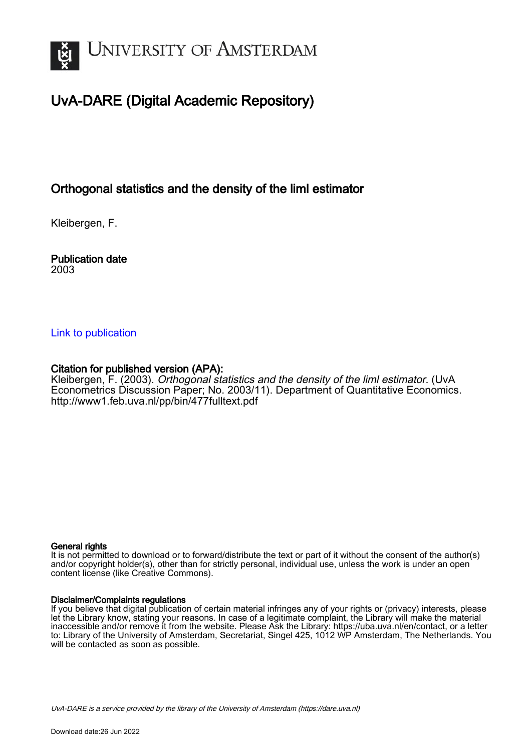

### UvA-DARE (Digital Academic Repository)

### Orthogonal statistics and the density of the liml estimator

Kleibergen, F.

Publication date 2003

#### [Link to publication](https://dare.uva.nl/personal/pure/en/publications/orthogonal-statistics-and-the-density-of-the-liml-estimator(0c7a70e7-19c0-44c1-926c-be5b16918e92).html)

#### Citation for published version (APA):

Kleibergen, F. (2003). Orthogonal statistics and the density of the limi estimator. (UvA Econometrics Discussion Paper; No. 2003/11). Department of Quantitative Economics. <http://www1.feb.uva.nl/pp/bin/477fulltext.pdf>

#### General rights

It is not permitted to download or to forward/distribute the text or part of it without the consent of the author(s) and/or copyright holder(s), other than for strictly personal, individual use, unless the work is under an open content license (like Creative Commons).

#### Disclaimer/Complaints regulations

If you believe that digital publication of certain material infringes any of your rights or (privacy) interests, please let the Library know, stating your reasons. In case of a legitimate complaint, the Library will make the material inaccessible and/or remove it from the website. Please Ask the Library: https://uba.uva.nl/en/contact, or a letter to: Library of the University of Amsterdam, Secretariat, Singel 425, 1012 WP Amsterdam, The Netherlands. You will be contacted as soon as possible.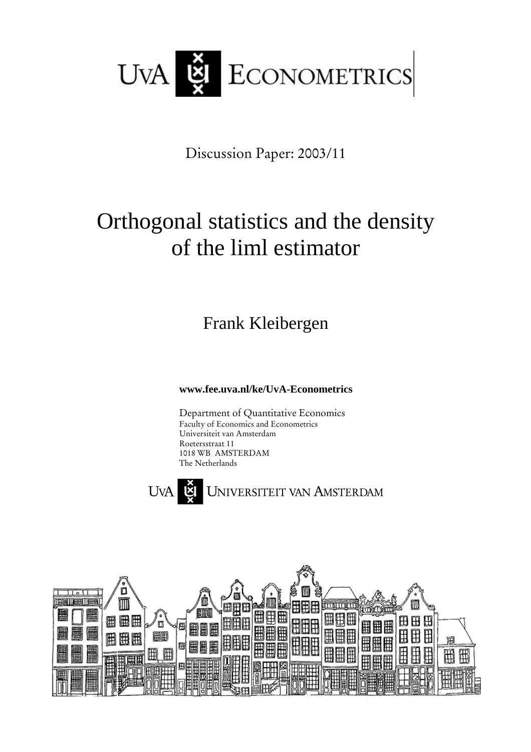

Discussion Paper: 2003/11

# Orthogonal statistics and the density of the liml estimator

Frank Kleibergen

**www.fee.uva.nl/ke/UvA-Econometrics**

Department of Quantitative Economics Faculty of Economics and Econometrics Universiteit van Amsterdam Roetersstraat 11 1018 WB AMSTERDAM The Netherlands



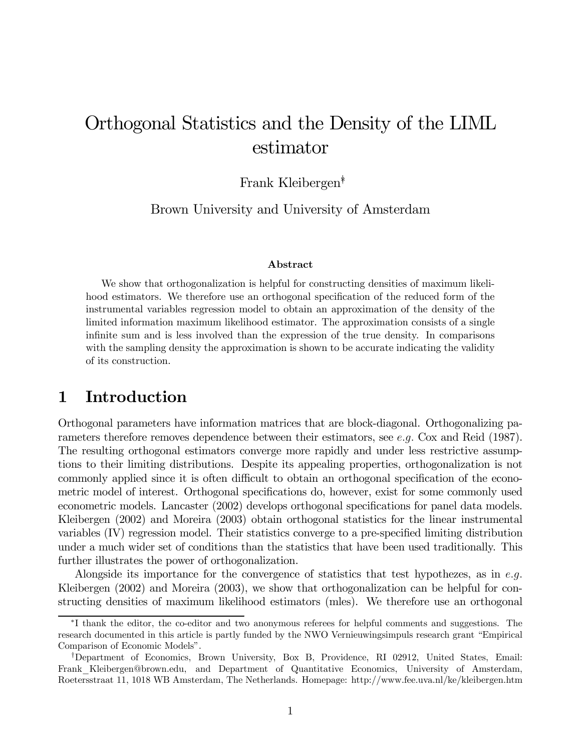## Orthogonal Statistics and the Density of the LIML estimator

Frank Kleibergen∗†

Brown University and University of Amsterdam

#### Abstract

We show that orthogonalization is helpful for constructing densities of maximum likelihood estimators. We therefore use an orthogonal specification of the reduced form of the instrumental variables regression model to obtain an approximation of the density of the limited information maximum likelihood estimator. The approximation consists of a single infinite sum and is less involved than the expression of the true density. In comparisons with the sampling density the approximation is shown to be accurate indicating the validity of its construction.

### 1 Introduction

Orthogonal parameters have information matrices that are block-diagonal. Orthogonalizing parameters therefore removes dependence between their estimators, see e.g. Cox and Reid (1987). The resulting orthogonal estimators converge more rapidly and under less restrictive assumptions to their limiting distributions. Despite its appealing properties, orthogonalization is not commonly applied since it is often difficult to obtain an orthogonal specification of the econometric model of interest. Orthogonal specifications do, however, exist for some commonly used econometric models. Lancaster (2002) develops orthogonal specifications for panel data models. Kleibergen (2002) and Moreira (2003) obtain orthogonal statistics for the linear instrumental variables (IV) regression model. Their statistics converge to a pre-specified limiting distribution under a much wider set of conditions than the statistics that have been used traditionally. This further illustrates the power of orthogonalization.

Alongside its importance for the convergence of statistics that test hypothezes, as in  $e.g.$ Kleibergen (2002) and Moreira (2003), we show that orthogonalization can be helpful for constructing densities of maximum likelihood estimators (mles). We therefore use an orthogonal

<sup>∗</sup>I thank the editor, the co-editor and two anonymous referees for helpful comments and suggestions. The research documented in this article is partly funded by the NWO Vernieuwingsimpuls research grant "Empirical Comparison of Economic Models".

<sup>†</sup>Department of Economics, Brown University, Box B, Providence, RI 02912, United States, Email: Frank Kleibergen@brown.edu, and Department of Quantitative Economics, University of Amsterdam, Roetersstraat 11, 1018 WB Amsterdam, The Netherlands. Homepage: http://www.fee.uva.nl/ke/kleibergen.htm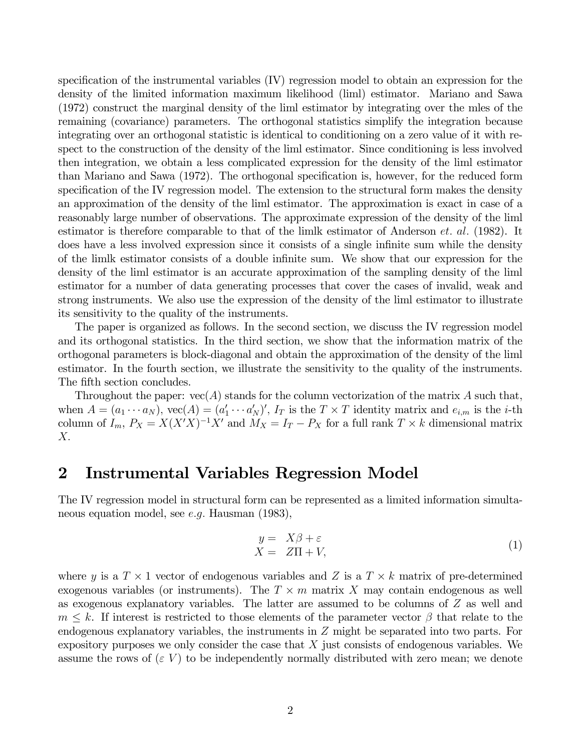specification of the instrumental variables (IV) regression model to obtain an expression for the density of the limited information maximum likelihood (liml) estimator. Mariano and Sawa (1972) construct the marginal density of the liml estimator by integrating over the mles of the remaining (covariance) parameters. The orthogonal statistics simplify the integration because integrating over an orthogonal statistic is identical to conditioning on a zero value of it with respect to the construction of the density of the liml estimator. Since conditioning is less involved then integration, we obtain a less complicated expression for the density of the liml estimator than Mariano and Sawa (1972). The orthogonal specification is, however, for the reduced form specification of the IV regression model. The extension to the structural form makes the density an approximation of the density of the liml estimator. The approximation is exact in case of a reasonably large number of observations. The approximate expression of the density of the liml estimator is therefore comparable to that of the limlk estimator of Anderson  $et.$  al. (1982). It does have a less involved expression since it consists of a single infinite sum while the density of the limlk estimator consists of a double infinite sum. We show that our expression for the density of the liml estimator is an accurate approximation of the sampling density of the liml estimator for a number of data generating processes that cover the cases of invalid, weak and strong instruments. We also use the expression of the density of the liml estimator to illustrate its sensitivity to the quality of the instruments.

The paper is organized as follows. In the second section, we discuss the IV regression model and its orthogonal statistics. In the third section, we show that the information matrix of the orthogonal parameters is block-diagonal and obtain the approximation of the density of the liml estimator. In the fourth section, we illustrate the sensitivity to the quality of the instruments. The fifth section concludes.

Throughout the paper:  $vec(A)$  stands for the column vectorization of the matrix A such that, when  $A = (a_1 \cdots a_N)$ ,  $\text{vec}(A) = (a'_1 \cdots a'_N)'$ ,  $I_T$  is the  $T \times T$  identity matrix and  $e_{i,m}$  is the *i*-th column of  $I_m$ ,  $P_X = X(X'X)^{-1}X'$  and  $M_X = I_T - P_X$  for a full rank  $T \times k$  dimensional matrix  $X$ .

### 2 Instrumental Variables Regression Model

The IV regression model in structural form can be represented as a limited information simultaneous equation model, see e.g. Hausman (1983),

$$
y = X\beta + \varepsilon X = Z\Pi + V,
$$
 (1)

where y is a  $T \times 1$  vector of endogenous variables and Z is a  $T \times k$  matrix of pre-determined exogenous variables (or instruments). The  $T \times m$  matrix X may contain endogenous as well as exogenous explanatory variables. The latter are assumed to be columns of  $Z$  as well and  $m \leq k$ . If interest is restricted to those elements of the parameter vector  $\beta$  that relate to the endogenous explanatory variables, the instruments in  $Z$  might be separated into two parts. For expository purposes we only consider the case that  $X$  just consists of endogenous variables. We assume the rows of  $(\varepsilon V)$  to be independently normally distributed with zero mean; we denote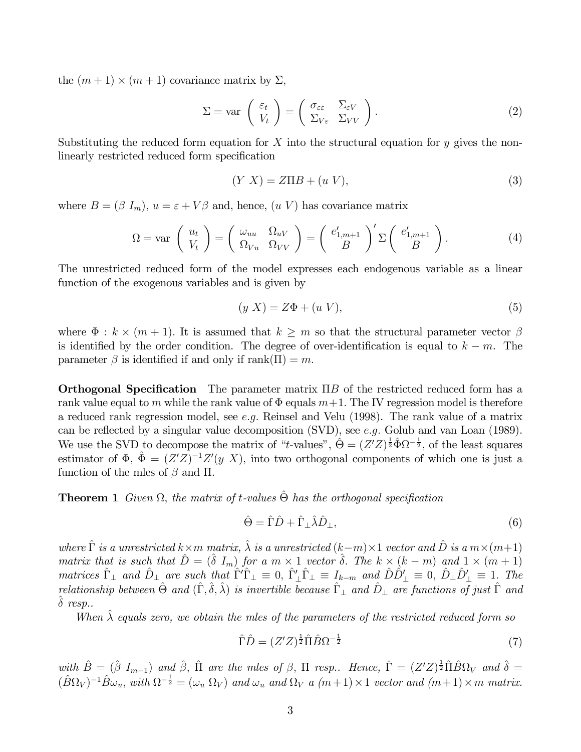the  $(m+1) \times (m+1)$  covariance matrix by  $\Sigma$ ,

$$
\Sigma = \text{var}\left(\begin{array}{c} \varepsilon_t \\ V_t \end{array}\right) = \left(\begin{array}{cc} \sigma_{\varepsilon\varepsilon} & \Sigma_{\varepsilon V} \\ \Sigma_{V\varepsilon} & \Sigma_{VV} \end{array}\right). \tag{2}
$$

Substituting the reduced form equation for X into the structural equation for  $y$  gives the nonlinearly restricted reduced form specification

$$
(Y X) = Z \Pi B + (u V), \tag{3}
$$

where  $B = (\beta I_m)$ ,  $u = \varepsilon + V\beta$  and, hence,  $(u V)$  has covariance matrix

$$
\Omega = \text{var}\left(\begin{array}{c} u_t \\ V_t \end{array}\right) = \left(\begin{array}{cc} \omega_{uu} & \Omega_{uV} \\ \Omega_{Vu} & \Omega_{VV} \end{array}\right) = \left(\begin{array}{c} e'_{1,m+1} \\ B \end{array}\right)' \Sigma \left(\begin{array}{c} e'_{1,m+1} \\ B \end{array}\right). \tag{4}
$$

The unrestricted reduced form of the model expresses each endogenous variable as a linear function of the exogenous variables and is given by

$$
(y X) = Z\Phi + (u V), \tag{5}
$$

where  $\Phi : k \times (m+1)$ . It is assumed that  $k \geq m$  so that the structural parameter vector  $\beta$ is identified by the order condition. The degree of over-identification is equal to  $k - m$ . The parameter  $\beta$  is identified if and only if rank $(\Pi) = m$ .

Orthogonal Specification The parameter matrix ΠB of the restricted reduced form has a rank value equal to m while the rank value of  $\Phi$  equals  $m+1$ . The IV regression model is therefore a reduced rank regression model, see e.g. Reinsel and Velu (1998). The rank value of a matrix can be reflected by a singular value decomposition (SVD), see e.g. Golub and van Loan (1989). We use the SVD to decompose the matrix of "t-values",  $\hat{\Theta} = (Z'Z)^{\frac{1}{2}} \hat{\Phi} \Omega^{-\frac{1}{2}}$ , of the least squares estimator of  $\Phi$ ,  $\hat{\Phi} = (Z'Z)^{-1}Z'(y\ X)$ , into two orthogonal components of which one is just a function of the mles of  $\beta$  and  $\Pi$ .

**Theorem 1** Given  $\Omega$ , the matrix of t-values  $\hat{\Theta}$  has the orthogonal specification

$$
\hat{\Theta} = \hat{\Gamma}\hat{D} + \hat{\Gamma}_{\perp}\hat{\lambda}\hat{D}_{\perp},\tag{6}
$$

where  $\hat{\Gamma}$  is a unrestricted  $k \times m$  matrix,  $\hat{\lambda}$  is a unrestricted  $(k-m) \times 1$  vector and  $\hat{D}$  is a  $m \times (m+1)$ matrix that is such that  $\hat{D} = (\hat{\delta} I_m)$  for a  $m \times 1$  vector  $\hat{\delta}$ . The  $k \times (k - m)$  and  $1 \times (m + 1)$  $matrices \hat{\Gamma}_{\perp}$  and  $\hat{D}_{\perp}$  are such that  $\hat{\Gamma}^{\prime}\hat{\Gamma}_{\perp} \equiv 0$ ,  $\hat{\Gamma}^{\prime}_{\perp}\hat{\Gamma}_{\perp} \equiv I_{k-m}$  and  $\hat{D}\hat{D}^{\prime}_{\perp} \equiv 0$ ,  $\hat{D}_{\perp}\hat{D}^{\prime}_{\perp} \equiv 1$ . The relationship between  $\hat{\Theta}$  and  $(\hat{\Gamma}, \hat{\delta}, \hat{\lambda})$  is invertible because  $\hat{\Gamma}_{\perp}$  and  $\hat{D}_{\perp}$  are functions of just  $\hat{\Gamma}$  and  $\hat{\delta}$  resp..

When  $\hat{\lambda}$  equals zero, we obtain the mles of the parameters of the restricted reduced form so

$$
\hat{\Gamma}\hat{D} = (Z'Z)^{\frac{1}{2}}\hat{\Pi}\hat{B}\Omega^{-\frac{1}{2}}\tag{7}
$$

with  $\hat{B} = (\hat{\beta} I_{m-1})$  and  $\hat{\beta}$ ,  $\hat{\Pi}$  are the mles of  $\beta$ ,  $\Pi$  resp.. Hence,  $\hat{\Gamma} = (Z'Z)^{\frac{1}{2}} \hat{\Pi} \hat{B} \Omega_V$  and  $\hat{\delta} =$  $(\hat{B}\Omega_V)^{-1}\hat{B}\omega_u$ , with  $\Omega^{-\frac{1}{2}} = (\omega_u \Omega_V)$  and  $\omega_u$  and  $\Omega_V$  a  $(m+1) \times 1$  vector and  $(m+1) \times m$  matrix.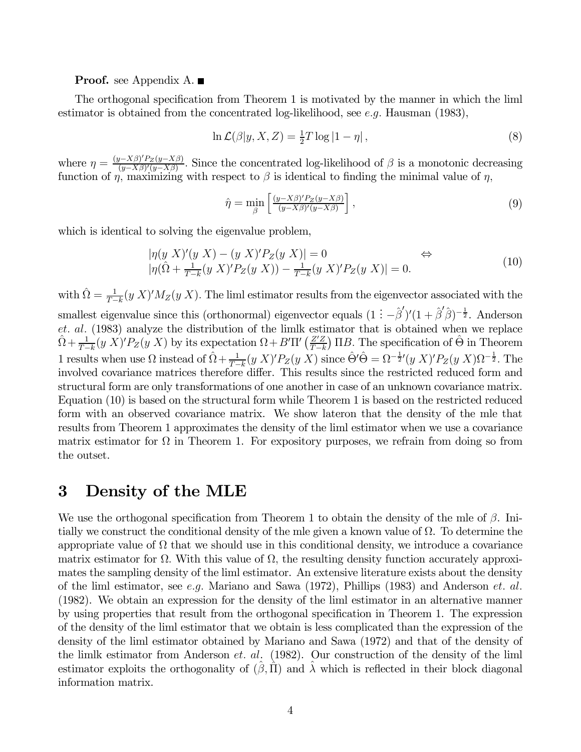#### **Proof.** see Appendix A.  $\blacksquare$

The orthogonal specification from Theorem 1 is motivated by the manner in which the liml estimator is obtained from the concentrated log-likelihood, see e.g. Hausman (1983),

$$
\ln \mathcal{L}(\beta | y, X, Z) = \frac{1}{2} T \log |1 - \eta|,
$$
\n(8)

where  $\eta = \frac{(y - X\beta)'P_Z(y - X\beta)}{(y - X\beta)'(y - X\beta)}$ . Since the concentrated log-likelihood of  $\beta$  is a monotonic decreasing function of  $\eta$ , maximizing with respect to  $\beta$  is identical to finding the minimal value of  $\eta$ ,

$$
\hat{\eta} = \min_{\beta} \left[ \frac{(y - X\beta)' P_Z(y - X\beta)}{(y - X\beta)'(y - X\beta)} \right],\tag{9}
$$

which is identical to solving the eigenvalue problem,

$$
|\eta(y X)'(y X) - (y X)'P_Z(y X)| = 0 \Leftrightarrow
$$
  

$$
|\eta(\hat{\Omega} + \frac{1}{T-k}(y X)'P_Z(y X)) - \frac{1}{T-k}(y X)'P_Z(y X)| = 0.
$$
 (10)

with  $\hat{\Omega} = \frac{1}{T-k} (y X)' M_Z(y X)$ . The liml estimator results from the eigenvector associated with the smallest eigenvalue since this (orthonormal) eigenvector equals  $(1 - \hat{\beta}')'(1 + \hat{\beta}'\hat{\beta})^{-\frac{1}{2}}$ . Anderson et. al. (1983) analyze the distribution of the limlk estimator that is obtained when we replace  $\hat{\Omega} + \frac{1}{T-k} (y \ X)' P_Z(y \ X)$  by its expectation  $\Omega + B' \Pi' \left( \frac{Z'Z}{T-k} \right)$  $T-k$  $(E)$  IIB. The specification of  $\hat{\Theta}$  in Theorem 1 results when use  $\Omega$  instead of  $\hat{\Omega} + \frac{1}{T-k} (y \, X)^t P_Z(y \, X)$  since  $\hat{\Theta}' \hat{\Theta} = \Omega^{-\frac{1}{2}} (y \, X)^t P_Z(y \, X) \Omega^{-\frac{1}{2}}$ . The involved covariance matrices therefore differ. This results since the restricted reduced form and structural form are only transformations of one another in case of an unknown covariance matrix. Equation (10) is based on the structural form while Theorem 1 is based on the restricted reduced form with an observed covariance matrix. We show lateron that the density of the mle that results from Theorem 1 approximates the density of the liml estimator when we use a covariance matrix estimator for  $\Omega$  in Theorem 1. For expository purposes, we refrain from doing so from the outset.

### 3 Density of the MLE

We use the orthogonal specification from Theorem 1 to obtain the density of the mle of  $\beta$ . Initially we construct the conditional density of the mle given a known value of  $\Omega$ . To determine the appropriate value of  $\Omega$  that we should use in this conditional density, we introduce a covariance matrix estimator for  $\Omega$ . With this value of  $\Omega$ , the resulting density function accurately approximates the sampling density of the liml estimator. An extensive literature exists about the density of the liml estimator, see e.g. Mariano and Sawa  $(1972)$ , Phillips  $(1983)$  and Anderson et. al. (1982). We obtain an expression for the density of the liml estimator in an alternative manner by using properties that result from the orthogonal specification in Theorem 1. The expression of the density of the liml estimator that we obtain is less complicated than the expression of the density of the liml estimator obtained by Mariano and Sawa (1972) and that of the density of the limlk estimator from Anderson et. al. (1982). Our construction of the density of the liml estimator exploits the orthogonality of  $(\hat{\beta}, \hat{\Pi})$  and  $\hat{\lambda}$  which is reflected in their block diagonal information matrix.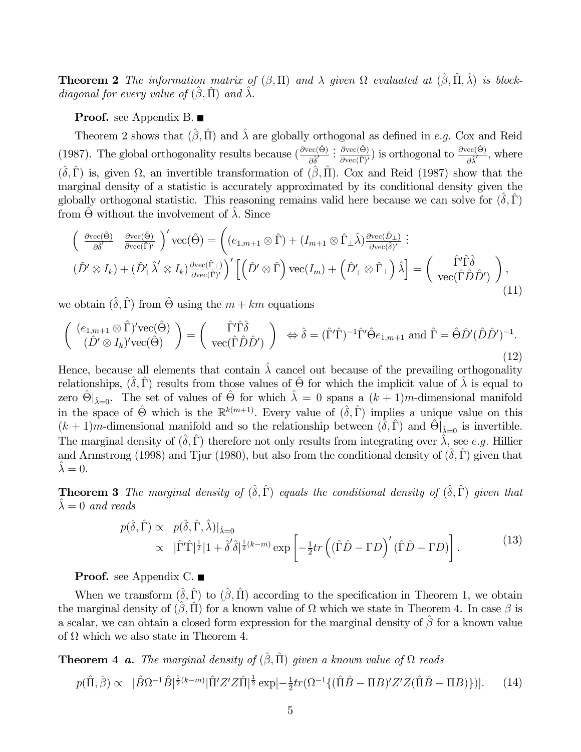**Theorem 2** The information matrix of  $(\beta, \Pi)$  and  $\lambda$  given  $\Omega$  evaluated at  $(\hat{\beta}, \hat{\Pi}, \hat{\lambda})$  is blockdiagonal for every value of  $(\hat{\beta}, \hat{\Pi})$  and  $\hat{\lambda}$ .

#### **Proof.** see Appendix B. ■

Theorem 2 shows that  $(\hat{\beta}, \hat{\Pi})$  and  $\hat{\lambda}$  are globally orthogonal as defined in e.g. Cox and Reid (1987). The global orthogonality results because  $\left(\frac{\partial \text{vec}(\hat{\Theta})}{\partial \hat{\delta}'}\right)$  $\frac{\partial \text{vec}(\hat{\Theta})}{\partial \text{vec}(\hat{\Gamma})'}$  is orthogonal to  $\frac{\partial \text{vec}(\hat{\Theta})}{\partial \hat{\lambda}'},$  where  $(\hat{\delta}, \hat{\Gamma})$  is, given  $\Omega$ , an invertible transformation of  $(\hat{\beta}, \hat{\Pi})$ . Cox and Reid (1987) show that the marginal density of a statistic is accurately approximated by its conditional density given the globally orthogonal statistic. This reasoning remains valid here because we can solve for  $(\delta, \hat{\Gamma})$ from  $\Theta$  without the involvement of  $\lambda$ . Since

$$
\begin{pmatrix}\n\frac{\partial \text{vec}(\hat{\Theta})}{\partial \hat{\delta}'} & \frac{\partial \text{vec}(\hat{\Theta})}{\partial \text{vec}(\hat{\Gamma})'}\n\end{pmatrix}' \text{vec}(\hat{\Theta}) = \left( (e_{1,m+1} \otimes \hat{\Gamma}) + (I_{m+1} \otimes \hat{\Gamma}_{\perp} \hat{\lambda}) \frac{\partial \text{vec}(\hat{D}_{\perp})}{\partial \text{vec}(\hat{\delta})'} \right) :
$$
\n
$$
(\hat{D}' \otimes I_k) + (\hat{D}'_{\perp} \hat{\lambda}' \otimes I_k) \frac{\partial \text{vec}(\hat{\Gamma}_{\perp})}{\partial \text{vec}(\hat{\Gamma})'} \right)' \left[ \left( \hat{D}' \otimes \hat{\Gamma} \right) \text{vec}(I_m) + \left( \hat{D}'_{\perp} \otimes \hat{\Gamma}_{\perp} \right) \hat{\lambda} \right] = \left( \begin{array}{c} \hat{\Gamma}' \hat{\Gamma} \hat{\delta} \\ \text{vec}(\hat{\Gamma} \hat{D} \hat{D}') \end{array} \right), \tag{11}
$$

we obtain  $(\hat{\delta}, \hat{\Gamma})$  from  $\hat{\Theta}$  using the  $m + km$  equations

$$
\begin{pmatrix}\n(e_{1,m+1}\otimes \hat{\Gamma})'\text{vec}(\hat{\Theta}) \\
(\hat{D}'\otimes I_k)' \text{vec}(\hat{\Theta})\n\end{pmatrix} = \begin{pmatrix}\n\hat{\Gamma}'\hat{\Gamma}\hat{\delta} \\
\text{vec}(\hat{\Gamma}\hat{D}\hat{D}')\n\end{pmatrix}\n\Leftrightarrow \hat{\delta} = (\hat{\Gamma}'\hat{\Gamma})^{-1}\hat{\Gamma}'\hat{\Theta}e_{1,m+1} \text{ and } \hat{\Gamma} = \hat{\Theta}\hat{D}'(\hat{D}\hat{D}')^{-1}.
$$
\n(12)

Hence, because all elements that contain  $\hat{\lambda}$  cancel out because of the prevailing orthogonality relationships,  $(\hat{\delta}, \hat{\Gamma})$  results from those values of  $\hat{\Theta}$  for which the implicit value of  $\hat{\lambda}$  is equal to zero  $\hat{\Theta}|_{\hat{\lambda}=0}$ . The set of values of  $\hat{\Theta}$  for which  $\hat{\lambda}=0$  spans a  $(k+1)m$ -dimensional manifold in the space of  $\hat{\Theta}$  which is the  $\mathbb{R}^{k(m+1)}$ . Every value of  $(\hat{\delta}, \hat{\Gamma})$  implies a unique value on this  $(k+1)m$ -dimensional manifold and so the relationship between  $(\tilde{\delta}, \hat{\Gamma})$  and  $\hat{\Theta}|_{\tilde{\lambda}=0}$  is invertible. The marginal density of  $(\hat{\delta}, \hat{\Gamma})$  therefore not only results from integrating over  $\hat{\lambda}$ , see e.g. Hillier and Armstrong (1998) and Tjur (1980), but also from the conditional density of  $(\hat{\delta}, \hat{\Gamma})$  given that  $\lambda = 0$ .

**Theorem 3** The marginal density of  $(\hat{\delta}, \hat{\Gamma})$  equals the conditional density of  $(\hat{\delta}, \hat{\Gamma})$  given that  $\lambda = 0$  and reads

$$
p(\hat{\delta}, \hat{\Gamma}) \propto p(\hat{\delta}, \hat{\Gamma}, \hat{\lambda})|_{\hat{\lambda}=0}
$$
  
 
$$
\propto |\hat{\Gamma}'\hat{\Gamma}|^{\frac{1}{2}}|1 + \hat{\delta}'\hat{\delta}|^{\frac{1}{2}(k-m)} \exp\left[-\frac{1}{2}tr\left((\hat{\Gamma}\hat{D} - \Gamma D\right)'(\hat{\Gamma}\hat{D} - \Gamma D)\right].
$$
 (13)

**Proof.** see Appendix C.

When we transform  $(\hat{\delta}, \hat{\Gamma})$  to  $(\hat{\beta}, \hat{\Pi})$  according to the specification in Theorem 1, we obtain the marginal density of  $(\beta, \Pi)$  for a known value of  $\Omega$  which we state in Theorem 4. In case  $\beta$  is a scalar, we can obtain a closed form expression for the marginal density of  $\hat{\beta}$  for a known value of  $\Omega$  which we also state in Theorem 4.

**Theorem 4 a.** The marginal density of  $(\hat{\beta}, \hat{\Pi})$  given a known value of  $\Omega$  reads

$$
p(\hat{\Pi}, \hat{\beta}) \propto |\hat{B}\Omega^{-1}\hat{B}|^{\frac{1}{2}(k-m)} |\hat{\Pi}'Z'Z\hat{\Pi}|^{\frac{1}{2}} \exp[-\frac{1}{2}tr(\Omega^{-1}\{(\hat{\Pi}\hat{B} - \Pi B)'Z'Z(\hat{\Pi}\hat{B} - \Pi B)\} )].
$$
 (14)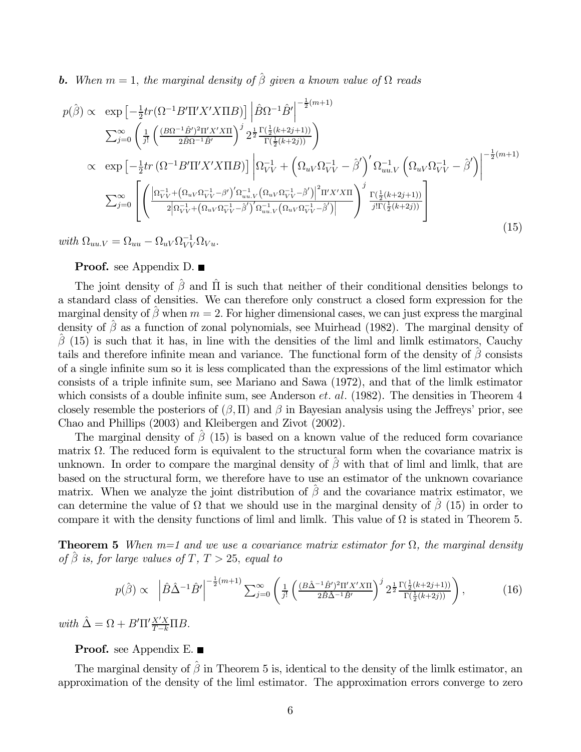**b.** When  $m = 1$ , the marginal density of  $\hat{\beta}$  given a known value of  $\Omega$  reads

$$
p(\hat{\beta}) \propto \exp\left[-\frac{1}{2}tr(\Omega^{-1}B'\Pi'X'X\Pi B)\right] \left|\hat{B}\Omega^{-1}\hat{B}'\right|^{-\frac{1}{2}(m+1)} \n\sum_{j=0}^{\infty} \left(\frac{1}{j!} \left(\frac{(B\Omega^{-1}\hat{B}')^{2}\Pi'X'X\Pi}{2\hat{B}\Omega^{-1}\hat{B}'}\right)^{j} 2^{\frac{1}{2}} \frac{\Gamma(\frac{1}{2}(k+2j+1))}{\Gamma(\frac{1}{2}(k+2j))}\right) \n\propto \exp\left[-\frac{1}{2}tr(\Omega^{-1}B'\Pi'X'X\Pi B)\right] \left|\Omega_{VV}^{-1} + \left(\Omega_{uV}\Omega_{VV}^{-1} - \hat{\beta}'\right)' \Omega_{uu,V}^{-1} \left(\Omega_{uV}\Omega_{VV}^{-1} - \hat{\beta}'\right)\right|^{-\frac{1}{2}(m+1)} \n\sum_{j=0}^{\infty} \left[\left(\frac{\left|\Omega_{VV}^{-1} + \left(\Omega_{uV}\Omega_{VV}^{-1} - \beta'\right)' \Omega_{uu,V}^{-1} \left(\Omega_{uV}\Omega_{VV}^{-1} - \hat{\beta}'\right)\right|^{2}\Pi'X'X\Pi}{2\left|\Omega_{VV}^{-1} + \left(\Omega_{uV}\Omega_{VV}^{-1} - \hat{\beta}'\right)' \Omega_{uu,V}^{-1} \left(\Omega_{uV}\Omega_{VV}^{-1} - \hat{\beta}'\right)\right|}\right)^{j} \frac{\Gamma(\frac{1}{2}(k+2j+1))}{j!\Gamma(\frac{1}{2}(k+2j))}\right]
$$
\n(15)

with  $\Omega_{uu,V} = \Omega_{uu} - \Omega_{uV} \Omega_{VV}^{-1} \Omega_{Vu}.$ 

#### **Proof.** see Appendix D. ■

The joint density of  $\hat{\beta}$  and  $\hat{\Pi}$  is such that neither of their conditional densities belongs to a standard class of densities. We can therefore only construct a closed form expression for the marginal density of  $\hat{\beta}$  when  $m = 2$ . For higher dimensional cases, we can just express the marginal density of  $\hat{\beta}$  as a function of zonal polynomials, see Muirhead (1982). The marginal density of  $\hat{\beta}$  (15) is such that it has, in line with the densities of the liml and limlk estimators, Cauchy tails and therefore infinite mean and variance. The functional form of the density of  $\beta$  consists of a single infinite sum so it is less complicated than the expressions of the liml estimator which consists of a triple infinite sum, see Mariano and Sawa (1972), and that of the limlk estimator which consists of a double infinite sum, see Anderson *et. al.* (1982). The densities in Theorem 4 closely resemble the posteriors of  $(\beta, \Pi)$  and  $\beta$  in Bayesian analysis using the Jeffreys' prior, see Chao and Phillips (2003) and Kleibergen and Zivot (2002).

The marginal density of  $\beta$  (15) is based on a known value of the reduced form covariance matrix  $\Omega$ . The reduced form is equivalent to the structural form when the covariance matrix is unknown. In order to compare the marginal density of  $\hat{\beta}$  with that of liml and limlk, that are based on the structural form, we therefore have to use an estimator of the unknown covariance matrix. When we analyze the joint distribution of  $\hat{\beta}$  and the covariance matrix estimator, we can determine the value of  $\Omega$  that we should use in the marginal density of  $\beta$  (15) in order to compare it with the density functions of liml and limlk. This value of  $\Omega$  is stated in Theorem 5.

**Theorem 5** When  $m=1$  and we use a covariance matrix estimator for  $\Omega$ , the marginal density of  $\beta$  is, for large values of T, T > 25, equal to

$$
p(\hat{\beta}) \propto \left| \hat{B}\hat{\Delta}^{-1}\hat{B}' \right|^{-\frac{1}{2}(m+1)} \sum_{j=0}^{\infty} \left( \frac{1}{j!} \left( \frac{(B\hat{\Delta}^{-1}\hat{B}')^2 \Pi' X' X \Pi}{2\hat{B}\hat{\Delta}^{-1}\hat{B}'} \right)^j 2^{\frac{1}{2}} \frac{\Gamma(\frac{1}{2}(k+2j+1))}{\Gamma(\frac{1}{2}(k+2j))} \right), \tag{16}
$$

with  $\hat{\Delta} = \Omega + B'\Pi'\frac{X'X}{T-k}\Pi B$ .

#### **Proof.** see Appendix E.

The marginal density of  $\hat{\beta}$  in Theorem 5 is, identical to the density of the limlk estimator, an approximation of the density of the liml estimator. The approximation errors converge to zero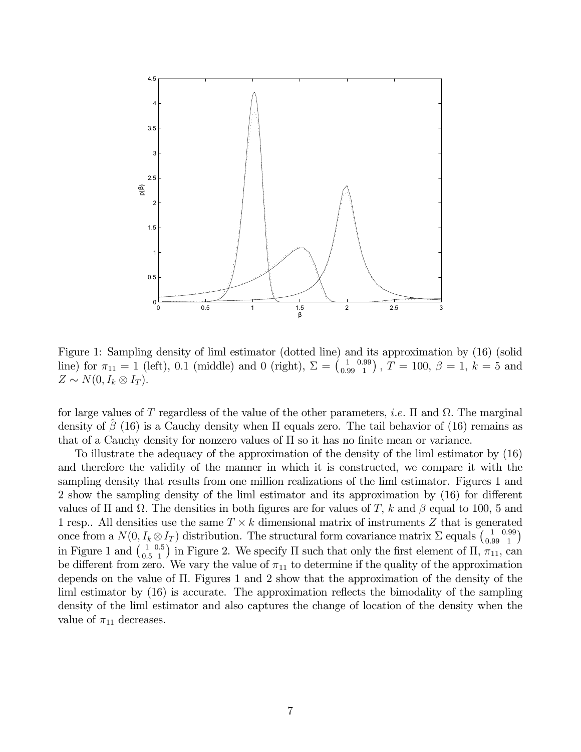

Figure 1: Sampling density of liml estimator (dotted line) and its approximation by (16) (solid line) for  $\pi_{11} = 1$  (left), 0.1 (middle) and 0 (right),  $\Sigma = \begin{pmatrix} 1 \\ 0.99 \end{pmatrix}$ 0.99  $\binom{.99}{1}$  ,  $T = 100, \, \beta = 1, \, k = 5 \, \, {\rm and}$  $Z \sim N(0, I_k \otimes I_T).$ 

for large values of T regardless of the value of the other parameters, *i.e.*  $\Pi$  and  $\Omega$ . The marginal density of  $\beta$  (16) is a Cauchy density when  $\Pi$  equals zero. The tail behavior of (16) remains as that of a Cauchy density for nonzero values of  $\Pi$  so it has no finite mean or variance.

To illustrate the adequacy of the approximation of the density of the liml estimator by (16) and therefore the validity of the manner in which it is constructed, we compare it with the sampling density that results from one million realizations of the liml estimator. Figures 1 and 2 show the sampling density of the liml estimator and its approximation by (16) for different values of  $\Pi$  and  $\Omega$ . The densities in both figures are for values of T, k and  $\beta$  equal to 100, 5 and 1 resp.. All densities use the same  $T \times k$  dimensional matrix of instruments Z that is generated once from a  $N(0, I_k \otimes I_T)$  distribution. The structural form covariance matrix  $\Sigma$  equals  $\begin{pmatrix} 1 \\ 0.99 \end{pmatrix}$ 0.99  $\binom{.99}{1}$ in Figure 1 and  $\binom{1}{0.5}$ 0.5 <sup>1,5</sup> in Figure 2. We specify  $\Pi$  such that only the first element of  $\Pi$ ,  $\pi_{11}$ , can be different from zero. We vary the value of  $\pi_{11}$  to determine if the quality of the approximation depends on the value of Π. Figures 1 and 2 show that the approximation of the density of the liml estimator by (16) is accurate. The approximation reflects the bimodality of the sampling density of the liml estimator and also captures the change of location of the density when the value of  $\pi_{11}$  decreases.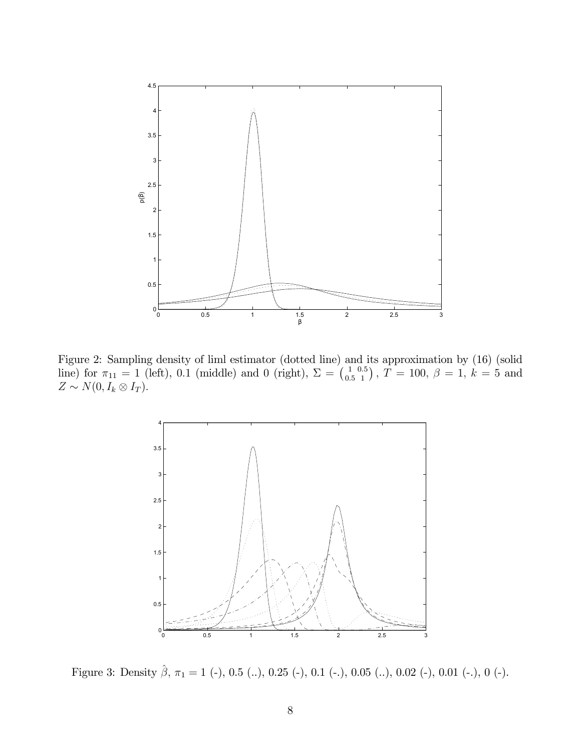

Figure 2: Sampling density of liml estimator (dotted line) and its approximation by (16) (solid line) for  $\pi_{11} = 1$  (left), 0.1 (middle) and 0 (right),  $\Sigma = \begin{pmatrix} 1 \\ 0.5 \end{pmatrix}$ 0.5  $\left( \frac{0.5}{1}\right)$ ,  $\overline{T} = 100, \ \beta = 1, \ k = 5 \text{ and}$  $Z \sim N(0, I_k \otimes I_T).$ 



Figure 3: Density  $\hat{\beta}$ ,  $\pi_1 = 1$  (-), 0.5 (..), 0.25 (-), 0.1 (-.), 0.05 (..), 0.02 (-), 0.01 (-.), 0 (-).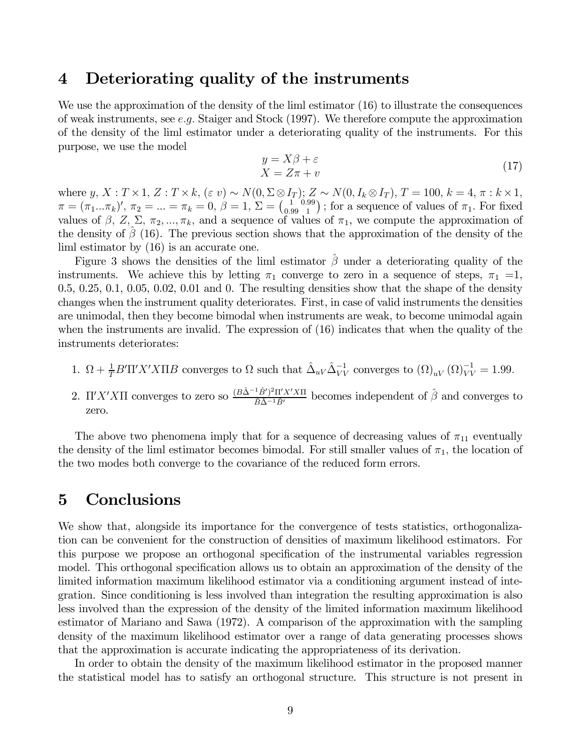### 4 Deteriorating quality of the instruments

We use the approximation of the density of the liml estimator (16) to illustrate the consequences of weak instruments, see e.g. Staiger and Stock  $(1997)$ . We therefore compute the approximation of the density of the liml estimator under a deteriorating quality of the instruments. For this purpose, we use the model

$$
y = X\beta + \varepsilon
$$
  
 
$$
X = Z\pi + v
$$
 (17)

where  $y, X: T \times 1, Z: T \times k, (\varepsilon v) \sim N(0, \Sigma \otimes I_T); Z \sim N(0, I_k \otimes I_T), T = 100, k = 4, \pi : k \times 1,$  $\pi = (\pi_1...\pi_k)' , \, \pi_2 = ... = \pi_k = 0 , \, \beta = 1 , \, \Sigma = \left(\frac{1}{0.99}\right)$ 0.99  $\binom{99}{1}$ ; for a sequence of values of  $\pi_1$ . For fixed values of  $\beta$ ,  $Z$ ,  $\Sigma$ ,  $\pi_2$ , ...,  $\pi_k$ , and a sequence of values of  $\pi_1$ , we compute the approximation of the density of  $\beta$  (16). The previous section shows that the approximation of the density of the liml estimator by (16) is an accurate one.

Figure 3 shows the densities of the liml estimator  $\beta$  under a deteriorating quality of the instruments. We achieve this by letting  $\pi_1$  converge to zero in a sequence of steps,  $\pi_1$  =1,  $0.5, 0.25, 0.1, 0.05, 0.02, 0.01$  and 0. The resulting densities show that the shape of the density changes when the instrument quality deteriorates. First, in case of valid instruments the densities are unimodal, then they become bimodal when instruments are weak, to become unimodal again when the instruments are invalid. The expression of (16) indicates that when the quality of the instruments deteriorates:

- 1.  $\Omega + \frac{1}{T} B' \Pi' X' X \Pi B$  converges to  $\Omega$  such that  $\hat{\Delta}_{uV} \hat{\Delta}_{VV}^{-1}$  converges to  $(\Omega)_{uV} (\Omega)_{VV}^{-1} = 1.99$ .
- 2. Π'X'XII converges to zero so  $\frac{(B\hat{\Delta}^{-1}\hat{B}')^2\Pi'X'X\Pi}{\hat{B}\hat{\Delta}^{-1}\hat{B}'}$  becomes independent of  $\hat{\beta}$  and converges to zero.

The above two phenomena imply that for a sequence of decreasing values of  $\pi_{11}$  eventually the density of the liml estimator becomes bimodal. For still smaller values of  $\pi_1$ , the location of the two modes both converge to the covariance of the reduced form errors.

### 5 Conclusions

We show that, alongside its importance for the convergence of tests statistics, orthogonalization can be convenient for the construction of densities of maximum likelihood estimators. For this purpose we propose an orthogonal specification of the instrumental variables regression model. This orthogonal specification allows us to obtain an approximation of the density of the limited information maximum likelihood estimator via a conditioning argument instead of integration. Since conditioning is less involved than integration the resulting approximation is also less involved than the expression of the density of the limited information maximum likelihood estimator of Mariano and Sawa (1972). A comparison of the approximation with the sampling density of the maximum likelihood estimator over a range of data generating processes shows that the approximation is accurate indicating the appropriateness of its derivation.

In order to obtain the density of the maximum likelihood estimator in the proposed manner the statistical model has to satisfy an orthogonal structure. This structure is not present in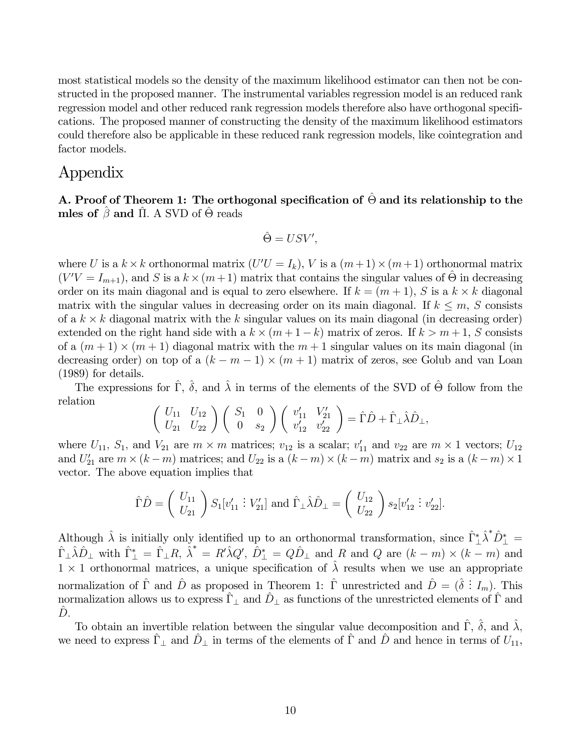most statistical models so the density of the maximum likelihood estimator can then not be constructed in the proposed manner. The instrumental variables regression model is an reduced rank regression model and other reduced rank regression models therefore also have orthogonal specifications. The proposed manner of constructing the density of the maximum likelihood estimators could therefore also be applicable in these reduced rank regression models, like cointegration and factor models.

### Appendix

A. Proof of Theorem 1: The orthogonal specification of  $\hat{\Theta}$  and its relationship to the mles of  $\hat{\beta}$  and  $\Pi$ . A SVD of  $\hat{\Theta}$  reads

$$
\hat{\Theta} = USV',
$$

where U is a  $k \times k$  orthonormal matrix  $(U'U = I_k)$ , V is a  $(m+1) \times (m+1)$  orthonormal matrix  $(V'V = I_{m+1})$ , and S is a  $k \times (m+1)$  matrix that contains the singular values of  $\hat{\Theta}$  in decreasing order on its main diagonal and is equal to zero elsewhere. If  $k = (m + 1)$ , S is a  $k \times k$  diagonal matrix with the singular values in decreasing order on its main diagonal. If  $k \leq m$ , S consists of a  $k \times k$  diagonal matrix with the k singular values on its main diagonal (in decreasing order) extended on the right hand side with a  $k \times (m + 1 - k)$  matrix of zeros. If  $k > m + 1$ , S consists of a  $(m+1) \times (m+1)$  diagonal matrix with the  $m+1$  singular values on its main diagonal (in decreasing order) on top of a  $(k - m - 1) \times (m + 1)$  matrix of zeros, see Golub and van Loan (1989) for details.

The expressions for  $\hat{\Gamma}$ ,  $\hat{\delta}$ , and  $\hat{\lambda}$  in terms of the elements of the SVD of  $\hat{\Theta}$  follow from the relation

$$
\left(\begin{array}{cc} U_{11} & U_{12} \\ U_{21} & U_{22} \end{array}\right) \left(\begin{array}{cc} S_1 & 0 \\ 0 & s_2 \end{array}\right) \left(\begin{array}{cc} v'_{11} & V'_{21} \\ v'_{12} & v'_{22} \end{array}\right) = \hat{\Gamma}\hat{D} + \hat{\Gamma}_{\perp}\hat{\lambda}\hat{D}_{\perp},
$$

where  $U_{11}$ ,  $S_1$ , and  $V_{21}$  are  $m \times m$  matrices;  $v_{12}$  is a scalar;  $v'_{11}$  and  $v_{22}$  are  $m \times 1$  vectors;  $U_{12}$ and  $U'_{21}$  are  $m \times (k-m)$  matrices; and  $U_{22}$  is a  $(k-m) \times (k-m)$  matrix and  $s_2$  is a  $(k-m) \times 1$ vector. The above equation implies that

$$
\hat{\Gamma}\hat{D} = \begin{pmatrix} U_{11} \\ U_{21} \end{pmatrix} S_1[v'_{11} : V'_{21}] \text{ and } \hat{\Gamma}_\perp \hat{\lambda} \hat{D}_\perp = \begin{pmatrix} U_{12} \\ U_{22} \end{pmatrix} s_2[v'_{12} : v'_{22}].
$$

Although  $\hat{\lambda}$  is initially only identified up to an orthonormal transformation, since  $\hat{\Gamma}_{\perp}^* \hat{\lambda}^* \hat{D}_{\perp}^* =$  $\hat{\Gamma}_{\perp}\hat{\lambda}\hat{D}_{\perp}$  with  $\hat{\Gamma}_{\perp}^{*} = \hat{\Gamma}_{\perp}R$ ,  $\hat{\lambda}^{*} = R'\hat{\lambda}Q'$ ,  $\hat{D}_{\perp}^{*} = Q\hat{D}_{\perp}$  and R and Q are  $(k-m) \times (k-m)$  and  $1 \times 1$  orthonormal matrices, a unique specification of  $\hat{\lambda}$  results when we use an appropriate normalization of  $\hat{\Gamma}$  and  $\hat{D}$  as proposed in Theorem 1:  $\hat{\Gamma}$  unrestricted and  $\hat{D} = (\hat{\delta} : I_m)$ . This normalization allows us to express  $\hat{\Gamma}_{\perp}$  and  $\hat{D}_{\perp}$  as functions of the unrestricted elements of  $\hat{\Gamma}$  and  $D$ .

To obtain an invertible relation between the singular value decomposition and  $\hat{\Gamma}$ ,  $\hat{\delta}$ , and  $\hat{\lambda}$ , we need to express  $\hat{\Gamma}_{\perp}$  and  $\hat{D}_{\perp}$  in terms of the elements of  $\hat{\Gamma}$  and  $\hat{D}$  and hence in terms of  $U_{11}$ ,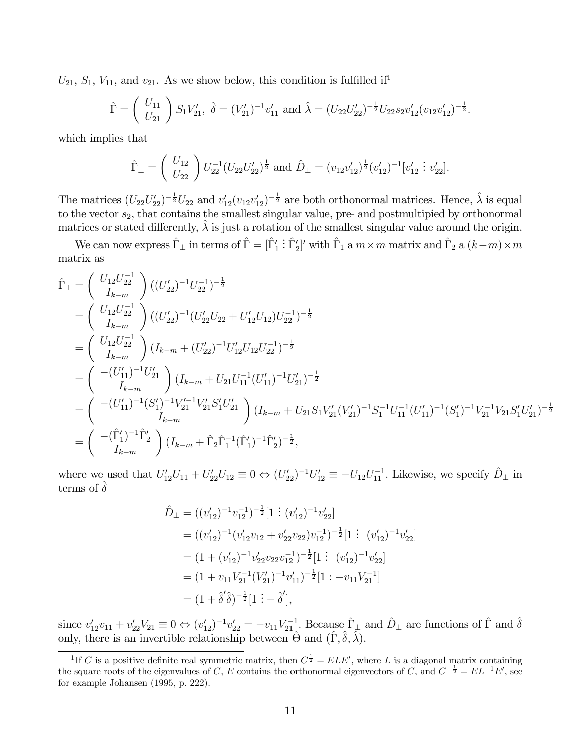$U_{21}$ ,  $S_1$ ,  $V_{11}$ , and  $v_{21}$ . As we show below, this condition is fulfilled if<sup>1</sup>

$$
\hat{\Gamma} = \begin{pmatrix} U_{11} \\ U_{21} \end{pmatrix} S_1 V'_{21}, \ \hat{\delta} = (V'_{21})^{-1} v'_{11} \text{ and } \hat{\lambda} = (U_{22} U'_{22})^{-\frac{1}{2}} U_{22} s_2 v'_{12} (v_{12} v'_{12})^{-\frac{1}{2}}.
$$

which implies that

$$
\hat{\Gamma}_{\perp} = \begin{pmatrix} U_{12} \\ U_{22} \end{pmatrix} U_{22}^{-1} (U_{22} U_{22}')^{\frac{1}{2}} \text{ and } \hat{D}_{\perp} = (v_{12} v_{12}')^{\frac{1}{2}} (v_{12}')^{-1} [v_{12}' \vdots v_{22}'].
$$

The matrices  $(U_{22}U_{22}')^{-\frac{1}{2}}U_{22}$  and  $v_{12}'(v_{12}v_{12}')^{-\frac{1}{2}}$  are both orthonormal matrices. Hence,  $\hat{\lambda}$  is equal to the vector  $s_2$ , that contains the smallest singular value, pre- and postmultipied by orthonormal matrices or stated differently,  $\lambda$  is just a rotation of the smallest singular value around the origin.

We can now express  $\hat{\Gamma}_{\perp}$  in terms of  $\hat{\Gamma} = [\hat{\Gamma}'_1]$  $\hat{\Gamma}$ <sup>'</sup><sub>2</sub>'' with  $\hat{\Gamma}_1$  a  $m \times m$  matrix and  $\hat{\Gamma}_2$  a  $(k-m) \times m$ matrix as

$$
\hat{\Gamma}_{\perp} = \begin{pmatrix} U_{12}U_{22}^{-1} \\ I_{k-m} \end{pmatrix} ((U'_{22})^{-1}U_{22}^{-1})^{-\frac{1}{2}} \n= \begin{pmatrix} U_{12}U_{22}^{-1} \\ I_{k-m} \end{pmatrix} ((U'_{22})^{-1}(U'_{22}U_{22} + U'_{12}U_{12})U_{22}^{-1})^{-\frac{1}{2}} \n= \begin{pmatrix} U_{12}U_{22}^{-1} \\ I_{k-m} \end{pmatrix} (I_{k-m} + (U'_{22})^{-1}U'_{12}U_{12}U_{22}^{-1})^{-\frac{1}{2}} \n= \begin{pmatrix} - (U'_{11})^{-1}U'_{21} \\ I_{k-m} \end{pmatrix} (I_{k-m} + U_{21}U_{11}^{-1}(U'_{11})^{-1}U'_{21})^{-\frac{1}{2}} \n= \begin{pmatrix} -(U'_{11})^{-1}(S'_{1})^{-1}V'_{21}^{-1}V'_{21}S'_{1}U'_{21} \\ I_{k-m} \end{pmatrix} (I_{k-m} + U_{21}S_{1}V'_{21}(V'_{21})^{-1}S_{1}^{-1}U_{11}^{-1}(U'_{11})^{-1}(S'_{1})^{-1}V_{21}^{-1}V_{21}S'_{1}U'_{21})^{-\frac{1}{2}} \n= \begin{pmatrix} -((\hat{\Gamma}_{1}^{'})^{-1}\hat{\Gamma}_{2}^{'}) \\ I_{k-m} \end{pmatrix} (I_{k-m} + \hat{\Gamma}_{2}\hat{\Gamma}_{1}^{-1}(\hat{\Gamma}_{1}^{'})^{-1}\hat{\Gamma}_{2}^{'})^{-\frac{1}{2}},
$$

where we used that  $U_{12}'U_{11} + U_{22}'U_{12} \equiv 0 \Leftrightarrow (U_{22}')^{-1}U_{12}' \equiv -U_{12}U_{11}^{-1}$ . Likewise, we specify  $\hat{D}_{\perp}$  in terms of  $\hat{\delta}$ 

$$
\hat{D}_{\perp} = ((v'_{12})^{-1}v_{12}^{-1})^{-\frac{1}{2}}[1:(v'_{12})^{-1}v'_{22}]
$$
\n
$$
= ((v'_{12})^{-1}(v'_{12}v_{12} + v'_{22}v_{22})v_{12}^{-1})^{-\frac{1}{2}}[1:(v'_{12})^{-1}v'_{22}]
$$
\n
$$
= (1 + (v'_{12})^{-1}v'_{22}v_{22}v_{12}^{-1})^{-\frac{1}{2}}[1:(v'_{12})^{-1}v'_{22}]
$$
\n
$$
= (1 + v_{11}V_{21}^{-1}(V'_{21})^{-1}v'_{11})^{-\frac{1}{2}}[1:-v_{11}V_{21}^{-1}]
$$
\n
$$
= (1 + \hat{\delta}'\hat{\delta})^{-\frac{1}{2}}[1:-\hat{\delta}'],
$$

since  $v'_{12}v_{11} + v'_{22}V_{21} \equiv 0 \Leftrightarrow (v'_{12})^{-1}v'_{22} = -v_{11}V_{21}^{-1}$ . Because  $\hat{\Gamma}_{\perp}$  and  $\hat{D}_{\perp}$  are functions of  $\hat{\Gamma}$  and  $\hat{\delta}$ only, there is an invertible relationship between  $\hat{\Theta}$  and  $(\hat{\Gamma}, \hat{\delta}, \hat{\lambda})$ .

<sup>&</sup>lt;sup>1</sup>If C is a positive definite real symmetric matrix, then  $C^{\frac{1}{2}} = ELE'$ , where L is a diagonal matrix containing the square roots of the eigenvalues of C, E contains the orthonormal eigenvectors of C, and  $C^{-\frac{1}{2}} = EL^{-1}E'$ , see for example Johansen (1995, p. 222).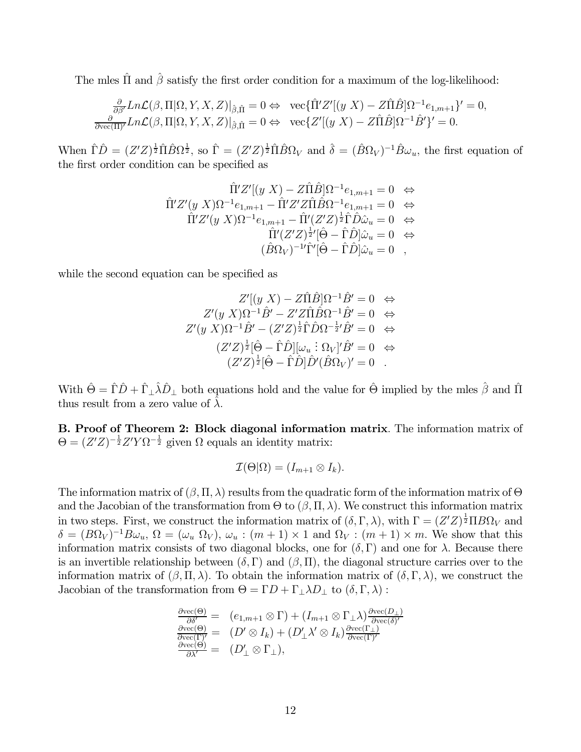The mles  $\hat{\Pi}$  and  $\hat{\beta}$  satisfy the first order condition for a maximum of the log-likelihood:

$$
\frac{\partial}{\partial \beta'} Ln\mathcal{L}(\beta, \Pi | \Omega, Y, X, Z)|_{\hat{\beta}, \hat{\Pi}} = 0 \Leftrightarrow \text{vec}\{\hat{\Pi}' Z'[(y X) - Z\hat{\Pi}\hat{B}]\Omega^{-1} e_{1, m+1}\}' = 0,
$$
\n
$$
\frac{\partial}{\partial \text{vec}(\Pi')} Ln\mathcal{L}(\beta, \Pi | \Omega, Y, X, Z)|_{\hat{\beta}, \hat{\Pi}} = 0 \Leftrightarrow \text{vec}\{Z'[(y X) - Z\hat{\Pi}\hat{B}]\Omega^{-1}\hat{B}'\}' = 0.
$$

When  $\hat{\Gamma}\hat{D} = (Z'Z)^{\frac{1}{2}}\hat{\Pi}\hat{B}\Omega^{\frac{1}{2}},$  so  $\hat{\Gamma} = (Z'Z)^{\frac{1}{2}}\hat{\Pi}\hat{B}\Omega_V$  and  $\hat{\delta} = (\hat{B}\Omega_V)^{-1}\hat{B}\omega_u$ , the first equation of the first order condition can be specified as

$$
\hat{\Pi}'Z'[(y X) - Z\hat{\Pi}\hat{B}]\Omega^{-1}e_{1,m+1} = 0 \Leftrightarrow \n\hat{\Pi}'Z'(y X)\Omega^{-1}e_{1,m+1} - \hat{\Pi}'Z'Z\hat{\Pi}\hat{B}\Omega^{-1}e_{1,m+1} = 0 \Leftrightarrow \n\hat{\Pi}'Z'(y X)\Omega^{-1}e_{1,m+1} - \hat{\Pi}'(Z'Z)^{\frac{1}{2}}\hat{\Gamma}\hat{D}\hat{\omega}_u = 0 \Leftrightarrow \n\hat{\Pi}'(Z'Z)^{\frac{1}{2}'}[\hat{\Theta} - \hat{\Gamma}\hat{D}]\hat{\omega}_u = 0 \Leftrightarrow \n(\hat{B}\Omega_V)^{-1}\hat{\Gamma}'[\hat{\Theta} - \hat{\Gamma}\hat{D}]\hat{\omega}_u = 0 ,
$$

while the second equation can be specified as

$$
Z'[(y X) - Z\hat{\Pi}\hat{B}]\Omega^{-1}\hat{B}' = 0 \Leftrightarrow
$$
  
\n
$$
Z'(y X)\Omega^{-1}\hat{B}' - Z'Z\hat{\Pi}\hat{B}\Omega^{-1}\hat{B}' = 0 \Leftrightarrow
$$
  
\n
$$
Z'(y X)\Omega^{-1}\hat{B}' - (Z'Z)^{\frac{1}{2}}\hat{\Gamma}\hat{D}\Omega^{-\frac{1}{2}'}\hat{B}' = 0 \Leftrightarrow
$$
  
\n
$$
(Z'Z)^{\frac{1}{2}}[\hat{\Theta} - \hat{\Gamma}\hat{D}][\omega_u : \Omega_V]'\hat{B}' = 0 \Leftrightarrow
$$
  
\n
$$
(Z'Z)^{\frac{1}{2}}[\hat{\Theta} - \hat{\Gamma}\hat{D}]\hat{D}'(\hat{B}\Omega_V)' = 0 .
$$

With  $\hat{\Theta} = \hat{\Gamma}\hat{D} + \hat{\Gamma}_{\perp}\hat{\lambda}\hat{D}_{\perp}$  both equations hold and the value for  $\hat{\Theta}$  implied by the mles  $\hat{\beta}$  and  $\hat{\Pi}$ thus result from a zero value of  $\lambda$ .

B. Proof of Theorem 2: Block diagonal information matrix. The information matrix of  $\Theta = (Z'Z)^{-\frac{1}{2}}Z'Y\Omega^{-\frac{1}{2}}$  given  $\Omega$  equals an identity matrix:

$$
\mathcal{I}(\Theta|\Omega)=(I_{m+1}\otimes I_k).
$$

The information matrix of  $(\beta, \Pi, \lambda)$  results from the quadratic form of the information matrix of  $\Theta$ and the Jacobian of the transformation from  $\Theta$  to  $(\beta, \Pi, \lambda)$ . We construct this information matrix in two steps. First, we construct the information matrix of  $(\delta, \Gamma, \lambda)$ , with  $\Gamma = (Z'Z)^{\frac{1}{2}}\Pi B\Omega_V$  and  $\delta = (B\Omega_V)^{-1}B\omega_u$ ,  $\Omega = (\omega_u \Omega_V)$ ,  $\omega_u : (m+1) \times 1$  and  $\Omega_V : (m+1) \times m$ . We show that this information matrix consists of two diagonal blocks, one for  $(\delta, \Gamma)$  and one for  $\lambda$ . Because there is an invertible relationship between  $(\delta, \Gamma)$  and  $(\beta, \Pi)$ , the diagonal structure carries over to the information matrix of  $(\beta, \Pi, \lambda)$ . To obtain the information matrix of  $(\delta, \Gamma, \lambda)$ , we construct the Jacobian of the transformation from  $\Theta = \Gamma D + \Gamma_{\perp} \lambda D_{\perp}$  to  $(\delta, \Gamma, \lambda)$ :

$$
\frac{\partial \text{vec}(\Theta)}{\partial \delta'} = (e_{1,m+1} \otimes \Gamma) + (I_{m+1} \otimes \Gamma_{\perp} \lambda) \frac{\partial \text{vec}(D_{\perp})}{\partial \text{vec}(\delta)'}
$$
\n
$$
\frac{\partial \text{vec}(\Theta)}{\partial \text{vec}(\Gamma)'} = (D' \otimes I_k) + (D'_{\perp} \lambda' \otimes I_k) \frac{\partial \text{vec}(\Gamma_{\perp})}{\partial \text{vec}(\Gamma)'}\
$$
\n
$$
\frac{\partial \text{vec}(\Theta)}{\partial \lambda'} = (D'_{\perp} \otimes \Gamma_{\perp}),
$$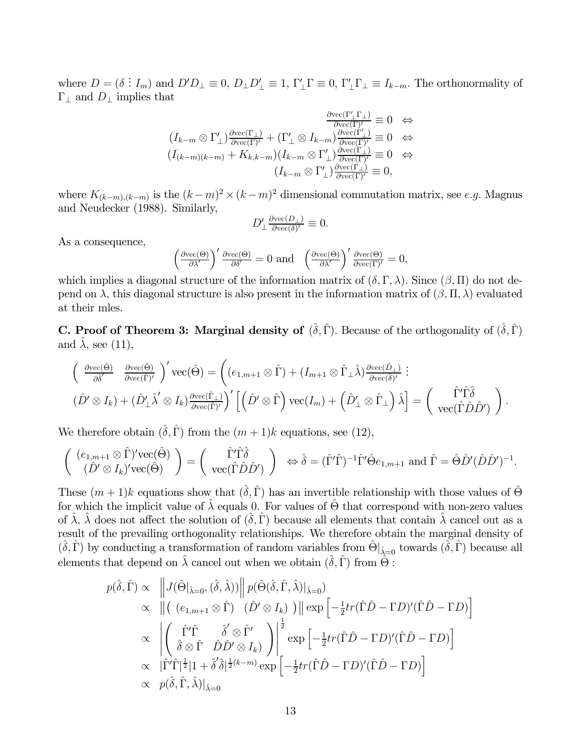where  $D = (\delta : I_m)$  and  $D'D_{\perp} \equiv 0$ ,  $D_{\perp}D'_{\perp} \equiv 1$ ,  $\Gamma'_{\perp}\Gamma \equiv 0$ ,  $\Gamma'_{\perp}\Gamma_{\perp} \equiv I_{k-m}$ . The orthonormality of  $\Gamma_{\perp}$  and  $D_{\perp}$  implies that

$$
\frac{\frac{\partial \text{vec}(\Gamma'_{\perp}\Gamma_{\perp})}{\partial \text{vec}(\Gamma')}}{(\Gamma_{k-m}\otimes \Gamma'_{\perp})\frac{\partial \text{vec}(\Gamma_{\perp})}{\partial \text{vec}(\Gamma')}}\equiv 0 \quad \Leftrightarrow
$$
\n
$$
(I_{k-m})(_{k-m}) + K_{k,k-m})(I_{k-m}\otimes \Gamma'_{\perp})\frac{\frac{\partial \text{vec}(\Gamma'_{\perp})}{\partial \text{vec}(\Gamma')}}{\partial \text{vec}(\Gamma')}}\equiv 0 \quad \Leftrightarrow
$$
\n
$$
(I_{k-m}\otimes \Gamma'_{\perp})\frac{\frac{\partial \text{vec}(\Gamma_{\perp})}{\partial \text{vec}(\Gamma')}}{\partial \text{vec}(\Gamma')}}\equiv 0,
$$

where  $K_{(k-m),(k-m)}$  is the  $(k-m)^2 \times (k-m)^2$  dimensional commutation matrix, see e.g. Magnus and Neudecker (1988). Similarly,

$$
D'_\perp \tfrac{\partial \text{vec}(D_\perp)}{\partial \text{vec}(\delta)'} \equiv 0.
$$

As a consequence,

$$
\left(\frac{\partial \text{vec}(\Theta)}{\partial \lambda'}\right)' \frac{\partial \text{vec}(\Theta)}{\partial \delta'} = 0 \text{ and } \left(\frac{\partial \text{vec}(\Theta)}{\partial \lambda'}\right)' \frac{\partial \text{vec}(\Theta)}{\partial \text{vec}(\Gamma)'} = 0,
$$

which implies a diagonal structure of the information matrix of  $(\delta, \Gamma, \lambda)$ . Since  $(\beta, \Pi)$  do not depend on  $\lambda$ , this diagonal structure is also present in the information matrix of  $(\beta, \Pi, \lambda)$  evaluated at their mles.

**C. Proof of Theorem 3: Marginal density of**  $(\hat{\delta}, \hat{\Gamma})$ . Because of the orthogonality of  $(\hat{\delta}, \hat{\Gamma})$ and  $\lambda$ , see (11),

$$
\begin{pmatrix}\n\frac{\partial \text{vec}(\hat{\Theta})}{\partial \hat{\delta}'} & \frac{\partial \text{vec}(\hat{\Theta})}{\partial \text{vec}(\hat{\Gamma})'}\n\end{pmatrix}' \text{vec}(\hat{\Theta}) = \left( (e_{1,m+1} \otimes \hat{\Gamma}) + (I_{m+1} \otimes \hat{\Gamma}_{\perp} \hat{\lambda}) \frac{\partial \text{vec}(\hat{D}_{\perp})}{\partial \text{vec}(\hat{\delta})'} \right) :
$$
\n
$$
(\hat{D}' \otimes I_k) + (\hat{D}'_{\perp} \hat{\lambda}' \otimes I_k) \frac{\partial \text{vec}(\hat{\Gamma}_{\perp})}{\partial \text{vec}(\hat{\Gamma})'} \right)' \left[ \left( \hat{D}' \otimes \hat{\Gamma} \right) \text{vec} (I_m) + \left( \hat{D}'_{\perp} \otimes \hat{\Gamma}_{\perp} \right) \hat{\lambda} \right] = \begin{pmatrix}\n\hat{\Gamma}' \hat{\Gamma} \hat{\delta} \\
\text{vec}(\hat{\Gamma} \hat{D} \hat{D}')\n\end{pmatrix}.
$$

We therefore obtain  $(\hat{\delta}, \hat{\Gamma})$  from the  $(m + 1)k$  equations, see (12),

$$
\begin{pmatrix}\n(e_{1,m+1}\otimes \hat{\Gamma})'\text{vec}(\hat{\Theta}) \\
(\hat{D}'\otimes I_k)' \text{vec}(\hat{\Theta})\n\end{pmatrix} = \begin{pmatrix}\n\hat{\Gamma}'\hat{\Gamma}\hat{\delta} \\
\text{vec}(\hat{\Gamma}\hat{D}\hat{D}')\n\end{pmatrix}\n\Leftrightarrow \hat{\delta} = (\hat{\Gamma}'\hat{\Gamma})^{-1}\hat{\Gamma}'\hat{\Theta}e_{1,m+1} \text{ and } \hat{\Gamma} = \hat{\Theta}\hat{D}'(\hat{D}\hat{D}')^{-1}.
$$

These  $(m+1)$ k equations show that  $(\hat{\delta}, \hat{\Gamma})$  has an invertible relationship with those values of  $\hat{\Theta}$ for which the implicit value of  $\hat{\lambda}$  equals 0. For values of  $\hat{\Theta}$  that correspond with non-zero values of  $\lambda$ ,  $\lambda$  does not affect the solution of  $(\delta, \Gamma)$  because all elements that contain  $\lambda$  cancel out as a result of the prevailing orthogonality relationships. We therefore obtain the marginal density of  $(\hat{\delta}, \hat{\Gamma})$  by conducting a transformation of random variables from  $\hat{\Theta}|_{\hat{\lambda}=0}$  towards  $(\hat{\delta}, \hat{\Gamma})$  because all elements that depend on  $\hat{\lambda}$  cancel out when we obtain  $(\hat{\delta}, \hat{\Gamma})$  from  $\hat{\Theta}$ :

$$
p(\hat{\delta}, \hat{\Gamma}) \propto \|J(\hat{\Theta}|\hat{\lambda}=0, (\hat{\delta}, \hat{\lambda}))\| p(\hat{\Theta}(\hat{\delta}, \hat{\Gamma}, \hat{\lambda})|\hat{\lambda}=0)
$$
  
\n
$$
\propto \|((e_{1,m+1} \otimes \hat{\Gamma}) \cdot (\hat{D}' \otimes I_k))\| \exp \left[-\frac{1}{2}tr(\hat{\Gamma}\hat{D} - \Gamma D)'(\hat{\Gamma}\hat{D} - \Gamma D)\right]
$$
  
\n
$$
\propto \left| \begin{pmatrix} \hat{\Gamma}'\hat{\Gamma} & \hat{\delta}' \otimes \hat{\Gamma}' \\ \hat{\delta} \otimes \hat{\Gamma} & \hat{D}\hat{D}' \otimes I_k \end{pmatrix} \right|^{\frac{1}{2}} \exp \left[-\frac{1}{2}tr(\hat{\Gamma}\hat{D} - \Gamma D)'(\hat{\Gamma}\hat{D} - \Gamma D)\right]
$$
  
\n
$$
\propto |\hat{\Gamma}'\hat{\Gamma}|^{\frac{1}{2}}|1 + \hat{\delta}'\hat{\delta}|^{\frac{1}{2}(k-m)} \exp \left[-\frac{1}{2}tr(\hat{\Gamma}\hat{D} - \Gamma D)'(\hat{\Gamma}\hat{D} - \Gamma D)\right]
$$
  
\n
$$
\propto p(\hat{\delta}, \hat{\Gamma}, \hat{\lambda})|_{\hat{\lambda}=0}
$$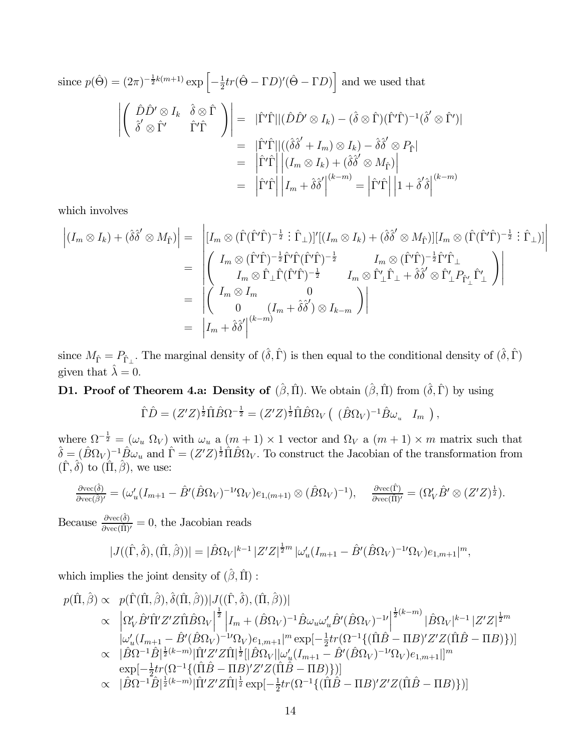since 
$$
p(\hat{\Theta}) = (2\pi)^{-\frac{1}{2}k(m+1)} \exp\left[-\frac{1}{2}tr(\hat{\Theta} - \Gamma D)'(\hat{\Theta} - \Gamma D)\right]
$$
 and we used that  
\n
$$
\begin{aligned}\n\left| \begin{pmatrix}\n\hat{D}\hat{D}' \otimes I_k & \hat{\delta} \otimes \hat{\Gamma} \\
\hat{\delta}' \otimes \hat{\Gamma}' & \hat{\Gamma}'\hat{\Gamma}\n\end{pmatrix}\n\right| &= |\hat{\Gamma}'\hat{\Gamma}| |(\hat{D}\hat{D}' \otimes I_k) - (\hat{\delta} \otimes \hat{\Gamma})(\hat{\Gamma}'\hat{\Gamma})^{-1}(\hat{\delta}' \otimes \hat{\Gamma}')| \\
&= |\hat{\Gamma}'\hat{\Gamma}| |((\hat{\delta}\hat{\delta}' + I_m) \otimes I_k) - \hat{\delta}\hat{\delta}' \otimes P_{\hat{\Gamma}}| \\
&= |\hat{\Gamma}'\hat{\Gamma}| |(I_m \otimes I_k) + (\hat{\delta}\hat{\delta}' \otimes M_{\hat{\Gamma}})| \\
&= |\hat{\Gamma}'\hat{\Gamma}| |I_m + \hat{\delta}\hat{\delta}'|^{(k-m)} = |\hat{\Gamma}'\hat{\Gamma}| |1 + \hat{\delta}'\hat{\delta}|^{(k-m)}\n\end{aligned}
$$

which involves

$$
\begin{split}\n\left| (I_m \otimes I_k) + (\hat{\delta}\hat{\delta}' \otimes M_{\hat{\Gamma}}) \right| &= \left| [I_m \otimes (\hat{\Gamma}(\hat{\Gamma}')\hat{\Gamma})^{-\frac{1}{2}} : \hat{\Gamma}_{\perp})]' [(I_m \otimes I_k) + (\hat{\delta}\hat{\delta}' \otimes M_{\hat{\Gamma}})][I_m \otimes (\hat{\Gamma}(\hat{\Gamma}')\hat{\Gamma})^{-\frac{1}{2}} : \hat{\Gamma}_{\perp})] \right| \\
&= \left| \begin{pmatrix} I_m \otimes (\hat{\Gamma}'\hat{\Gamma})^{-\frac{1}{2}} \hat{\Gamma}' \hat{\Gamma} (\hat{\Gamma}'\hat{\Gamma})^{-\frac{1}{2}} & I_m \otimes (\hat{\Gamma}'\hat{\Gamma})^{-\frac{1}{2}} \hat{\Gamma}' \hat{\Gamma}_{\perp} \\
I_m \otimes \hat{\Gamma}_{\perp} \hat{\Gamma} (\hat{\Gamma}'\hat{\Gamma})^{-\frac{1}{2}} & I_m \otimes \hat{\Gamma}'_{\perp} \hat{\Gamma}_{\perp} + \hat{\delta}\hat{\delta}' \otimes \hat{\Gamma}'_{\perp} P_{\hat{\Gamma}'_{\perp}} \hat{\Gamma}'_{\perp} \end{pmatrix} \right| \\
&= \left| \begin{pmatrix} I_m \otimes I_m & 0 \\ 0 & (I_m + \hat{\delta}\hat{\delta}') \otimes I_{k-m} \end{pmatrix} \right| \\
&= \left| I_m + \hat{\delta}\hat{\delta}' \right|^{(k-m)}\n\end{split}
$$

since  $M_{\hat{\Gamma}} = P_{\hat{\Gamma}_{\perp}}$ . The marginal density of  $(\hat{\delta}, \hat{\Gamma})$  is then equal to the conditional density of  $(\hat{\delta}, \hat{\Gamma})$ given that  $\hat{\lambda} = 0$ .

### **D1. Proof of Theorem 4.a: Density of**  $(\hat{\beta}, \hat{\Pi})$ . We obtain  $(\hat{\beta}, \hat{\Pi})$  from  $(\hat{\delta}, \hat{\Gamma})$  by using

$$
\hat{\Gamma}\hat{D} = (Z'Z)^{\frac{1}{2}}\hat{\Pi}\hat{B}\Omega^{-\frac{1}{2}} = (Z'Z)^{\frac{1}{2}}\hat{\Pi}\hat{B}\Omega_V \left( (\hat{B}\Omega_V)^{-1}\hat{B}\omega_u \quad I_m \right),
$$

where  $\Omega^{-\frac{1}{2}} = (\omega_u \Omega_V)$  with  $\omega_u$  a  $(m+1) \times 1$  vector and  $\Omega_V$  a  $(m+1) \times m$  matrix such that  $\hat{\delta} = (\hat{B}\Omega_V)^{-1}\hat{B}\omega_u$  and  $\hat{\Gamma} = (Z'Z)^{\frac{1}{2}}\hat{\Pi}\hat{B}\Omega_V$ . To construct the Jacobian of the transformation from  $(\hat{\Gamma}, \hat{\delta})$  to  $(\hat{\Pi}, \hat{\beta})$ , we use:

$$
\frac{\partial \text{vec}(\hat{\delta})}{\partial \text{vec}(\hat{\beta})'} = (\omega_u'(I_{m+1} - \hat{B}'(\hat{B}\Omega_V)^{-1}\Omega_V)e_{1,(m+1)} \otimes (\hat{B}\Omega_V)^{-1}), \quad \frac{\partial \text{vec}(\hat{\Gamma})}{\partial \text{vec}(\hat{\Pi})'} = (\Omega_V'\hat{B}' \otimes (Z'Z)^{\frac{1}{2}}).
$$

Because  $\frac{\partial \text{vec}(\hat{\delta})}{\partial \text{vec}(\hat{\Pi})'} = 0$ , the Jacobian reads

$$
|J((\hat{\Gamma},\hat{\delta}),(\hat{\Pi},\hat{\beta}))| = |\hat{B}\Omega_V|^{k-1} |Z'Z|^{\frac{1}{2}m} |\omega_u'(I_{m+1} - \hat{B}'(\hat{B}\Omega_V)^{-1}\Omega_V)e_{1,m+1}|^m,
$$

which implies the joint density of  $(\hat{\beta}, \hat{\Pi})$ :

$$
p(\hat{\Pi}, \hat{\beta}) \propto p(\hat{\Gamma}(\hat{\Pi}, \hat{\beta}), \hat{\delta}(\hat{\Pi}, \hat{\beta})) | J((\hat{\Gamma}, \hat{\delta}), (\hat{\Pi}, \hat{\beta})) |
$$
  
\n
$$
\propto \left| \Omega'_{V} \hat{B}' \hat{\Pi}' Z' Z \hat{\Pi} \hat{B} \Omega_{V} \right|^{\frac{1}{2}} \left| I_{m} + (\hat{B} \Omega_{V})^{-1} \hat{B} \omega_{u} \omega'_{u} \hat{B}' (\hat{B} \Omega_{V})^{-1} \right|^{\frac{1}{2}(k-m)} |\hat{B} \Omega_{V}|^{k-1} |Z' Z|^{\frac{1}{2}m}
$$
  
\n
$$
\omega'_{u} (I_{m+1} - \hat{B}' (\hat{B} \Omega_{V})^{-1} \Omega_{V}) e_{1,m+1} |^{m} \exp[-\frac{1}{2} tr (\Omega^{-1} \{ (\hat{\Pi} \hat{B} - \Pi B)' Z' Z (\hat{\Pi} \hat{B} - \Pi B) \} ) ]
$$
  
\n
$$
\propto |\hat{B} \Omega^{-1} \hat{B}|^{\frac{1}{2}(k-m)} |\hat{\Pi}' Z' Z \hat{\Pi}|^{\frac{1}{2}} [|\hat{B} \Omega_{V}| |\omega'_{u} (I_{m+1} - \hat{B}' (\hat{B} \Omega_{V})^{-1} \Omega_{V}) e_{1,m+1}|]^{m}
$$
  
\n
$$
\propto |\hat{B} \Omega^{-1} \hat{B}|^{\frac{1}{2}(k-m)} |\hat{\Pi}' Z' Z \hat{\Pi}|^{\frac{1}{2}} \exp[-\frac{1}{2} tr (\Omega^{-1} \{ (\hat{\Pi} \hat{B} - \Pi B)' Z' Z (\hat{\Pi} \hat{B} - \Pi B) \} ) ]
$$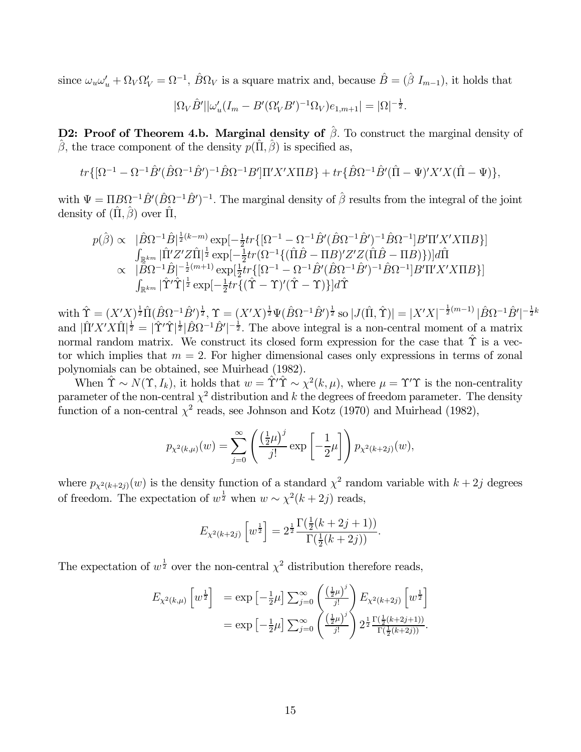since  $\omega_u \omega'_u + \Omega_V \Omega'_V = \Omega^{-1}$ ,  $\hat{B} \Omega_V$  is a square matrix and, because  $\hat{B} = (\hat{\beta} I_{m-1})$ , it holds that

$$
|\Omega_V \hat{B}'| |\omega_u'(I_m - B'(\Omega_V'B')^{-1} \Omega_V)e_{1,m+1}| = |\Omega|^{-\frac{1}{2}}.
$$

D2: Proof of Theorem 4.b. Marginal density of  $\hat{\beta}$ . To construct the marginal density of  $\hat{\beta}$ , the trace component of the density  $p(\hat{\Pi}, \hat{\beta})$  is specified as,

$$
tr\{[\Omega^{-1}-\Omega^{-1}\hat{B}'(\hat{B}\Omega^{-1}\hat{B}')^{-1}\hat{B}\Omega^{-1}B']\Pi'X'X\Pi B\}+tr\{\hat{B}\Omega^{-1}\hat{B}'(\hat{\Pi}-\Psi)'X'X(\hat{\Pi}-\Psi)\},\
$$

with  $\Psi = \Pi B \Omega^{-1} \hat{B}' (\hat{B} \Omega^{-1} \hat{B}')^{-1}$ . The marginal density of  $\hat{\beta}$  results from the integral of the joint density of  $(\hat{\Pi}, \hat{\beta})$  over  $\hat{\Pi}$ ,

$$
p(\hat{\beta}) \propto \quad |\hat{B}\Omega^{-1}\hat{B}|^{\frac{1}{2}(k-m)} \exp[-\frac{1}{2}tr\{[\Omega^{-1} - \Omega^{-1}\hat{B}'(\hat{B}\Omega^{-1}\hat{B}')^{-1}\hat{B}\Omega^{-1}]B'\Pi'X'X\Pi B\}]
$$
  
\n
$$
\int_{\mathbb{R}^{km}} |\hat{\Pi}'Z'Z\hat{\Pi}|^{\frac{1}{2}} \exp[-\frac{1}{2}tr(\Omega^{-1}\{(\hat{\Pi}\hat{B} - \Pi B)'Z'Z(\hat{\Pi}\hat{B} - \Pi B)\})]d\hat{\Pi}
$$
  
\n
$$
\propto \quad |\hat{B}\Omega^{-1}\hat{B}|^{-\frac{1}{2}(m+1)} \exp[\frac{1}{2}tr\{[\Omega^{-1} - \Omega^{-1}\hat{B}'(\hat{B}\Omega^{-1}\hat{B}')^{-1}\hat{B}\Omega^{-1}]B'\Pi'X'X\Pi B\}]
$$
  
\n
$$
\int_{\mathbb{R}^{km}} |\hat{\Upsilon}'\hat{\Upsilon}|^{\frac{1}{2}} \exp[-\frac{1}{2}tr\{(\hat{\Upsilon} - \Upsilon)'(\hat{\Upsilon} - \Upsilon)\}]d\hat{\Upsilon}
$$

 $\text{with } \hat{\Upsilon} = (X'X)^{\frac{1}{2}}\hat{\Pi}(\hat{B}\Omega^{-1}\hat{B}')^{\frac{1}{2}}, \Upsilon = (X'X)^{\frac{1}{2}}\Psi(\hat{B}\Omega^{-1}\hat{B}')^{\frac{1}{2}} \text{ so } |J(\hat{\Pi},\hat{\Upsilon})| = |X'X|^{-\frac{1}{2}(m-1)}\,|\hat{B}\Omega^{-1}\hat{B}'|^{-\frac{1}{2}k}$ and  $|\hat{\Pi}' X' X \hat{\Pi}|^{\frac{1}{2}} = |\hat{\Upsilon}' \hat{\Upsilon}|^{\frac{1}{2}} |\hat{B} \Omega^{-1} \hat{B}'|^{-\frac{1}{2}}$ . The above integral is a non-central moment of a matrix normal random matrix. We construct its closed form expression for the case that  $\hat{\Upsilon}$  is a vector which implies that  $m = 2$ . For higher dimensional cases only expressions in terms of zonal polynomials can be obtained, see Muirhead (1982).

When  $\hat{\Upsilon} \sim N(\Upsilon, I_k)$ , it holds that  $w = \hat{\Upsilon}' \hat{\Upsilon} \sim \chi^2(k, \mu)$ , where  $\mu = \Upsilon' \Upsilon$  is the non-centrality parameter of the non-central  $\chi^2$  distribution and k the degrees of freedom parameter. The density function of a non-central  $\chi^2$  reads, see Johnson and Kotz (1970) and Muirhead (1982),

$$
p_{\chi^2(k,\mu)}(w) = \sum_{j=0}^{\infty} \left( \frac{\left(\frac{1}{2}\mu\right)^j}{j!} \exp\left[-\frac{1}{2}\mu\right] \right) p_{\chi^2(k+2j)}(w),
$$

where  $p_{\chi^2(k+2j)}(w)$  is the density function of a standard  $\chi^2$  random variable with  $k+2j$  degrees of freedom. The expectation of  $w^{\frac{1}{2}}$  when  $w \sim \chi^2(k+2j)$  reads,

$$
E_{\chi^2(k+2j)}\left[w^{\frac{1}{2}}\right] = 2^{\frac{1}{2}} \frac{\Gamma(\frac{1}{2}(k+2j+1))}{\Gamma(\frac{1}{2}(k+2j))}.
$$

The expectation of  $w^{\frac{1}{2}}$  over the non-central  $\chi^2$  distribution therefore reads,

$$
E_{\chi^2(k,\mu)} \left[ w^{\frac{1}{2}} \right] = \exp \left[ -\frac{1}{2}\mu \right] \sum_{j=0}^{\infty} \left( \frac{\left(\frac{1}{2}\mu\right)^j}{j!} \right) E_{\chi^2(k+2j)} \left[ w^{\frac{1}{2}} \right]
$$
  
=  $\exp \left[ -\frac{1}{2}\mu \right] \sum_{j=0}^{\infty} \left( \frac{\left(\frac{1}{2}\mu\right)^j}{j!} \right) 2^{\frac{1}{2}} \frac{\Gamma\left(\frac{1}{2}(k+2j+1)\right)}{\Gamma\left(\frac{1}{2}(k+2j)\right)}.$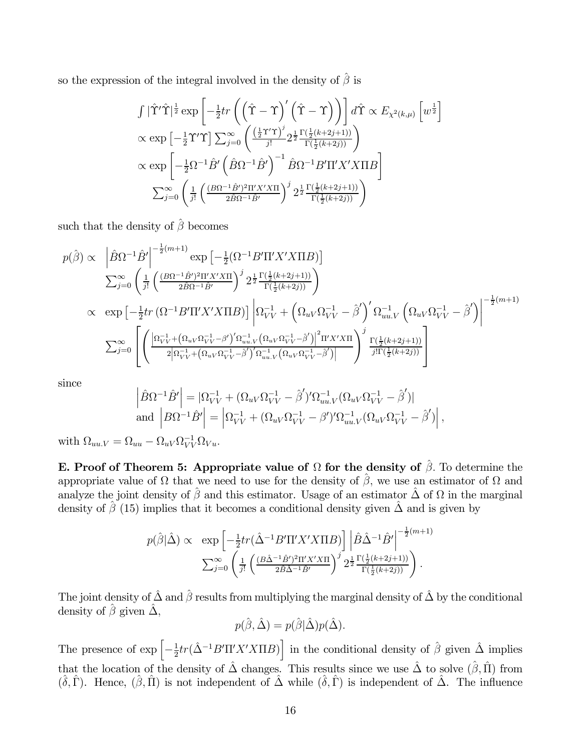so the expression of the integral involved in the density of  $\hat{\beta}$  is

$$
\int |\hat{\Upsilon}'\hat{\Upsilon}|^{\frac{1}{2}} \exp\left[-\frac{1}{2}tr\left(\left(\hat{\Upsilon}-\Upsilon\right)'\left(\hat{\Upsilon}-\Upsilon\right)\right)\right] d\hat{\Upsilon} \propto E_{\chi^2(k,\mu)} \left[w^{\frac{1}{2}}\right]
$$
  
\n
$$
\propto \exp\left[-\frac{1}{2}\Upsilon'\Upsilon\right] \sum_{j=0}^{\infty} \left(\frac{\left(\frac{1}{2}\Upsilon'\Upsilon\right)^j}{j!} 2^{\frac{1}{2}} \frac{\Gamma\left(\frac{1}{2}(k+2j+1)\right)}{\Gamma\left(\frac{1}{2}(k+2j)\right)}\right)
$$
  
\n
$$
\propto \exp\left[-\frac{1}{2}\Omega^{-1}\hat{B}'\left(\hat{B}\Omega^{-1}\hat{B}'\right)^{-1}\hat{B}\Omega^{-1}B'\Pi'X'X\Pi B\right]
$$
  
\n
$$
\sum_{j=0}^{\infty} \left(\frac{1}{j!}\left(\frac{\left(B\Omega^{-1}\hat{B}'\right)^2\Pi'X'X\Pi}{2\hat{B}\Omega^{-1}\hat{B}'}\right)^j 2^{\frac{1}{2}} \frac{\Gamma\left(\frac{1}{2}(k+2j+1)\right)}{\Gamma\left(\frac{1}{2}(k+2j)\right)}\right)
$$

such that the density of  $\hat{\boldsymbol{\beta}}$  becomes

$$
p(\hat{\beta}) \propto \left| \hat{B} \Omega^{-1} \hat{B}' \right|^{-\frac{1}{2}(m+1)} \exp \left[ -\frac{1}{2} (\Omega^{-1} B' \Pi' X' X \Pi B) \right]
$$
  
\n
$$
\sum_{j=0}^{\infty} \left( \frac{1}{j!} \left( \frac{(B \Omega^{-1} \hat{B}')^2 \Pi' X' X \Pi}{2 \hat{B} \Omega^{-1} \hat{B}'} \right)^j 2^{\frac{1}{2}} \frac{\Gamma(\frac{1}{2}(k+2j+1))}{\Gamma(\frac{1}{2}(k+2j))} \right)
$$
  
\n
$$
\propto \exp \left[ -\frac{1}{2} tr \left( \Omega^{-1} B' \Pi' X' X \Pi B \right) \right] \left| \Omega_{VV}^{-1} + \left( \Omega_{uV} \Omega_{VV}^{-1} - \hat{\beta}' \right)' \Omega_{u u. V}^{-1} \left( \Omega_{uV} \Omega_{VV}^{-1} - \hat{\beta}' \right) \right|^{-\frac{1}{2}(m+1)}
$$
  
\n
$$
\sum_{j=0}^{\infty} \left[ \left( \frac{\left| \Omega_{VV}^{-1} + \left( \Omega_{uV} \Omega_{VV}^{-1} - \beta' \right)' \Omega_{u u. V}^{-1} \left( \Omega_{uV} \Omega_{VV}^{-1} - \hat{\beta}' \right) \right|^{2} \Pi' X' X \Pi}{2 \left| \Omega_{VV}^{-1} + \left( \Omega_{uV} \Omega_{VV}^{-1} - \hat{\beta}' \right)' \Omega_{u u. V}^{-1} \left( \Omega_{uV} \Omega_{VV}^{-1} - \hat{\beta}' \right) \right|} \right)^j \frac{\Gamma(\frac{1}{2}(k+2j+1))}{j! \Gamma(\frac{1}{2}(k+2j))} \right]
$$

since

$$
\begin{aligned}\n\left|\hat{B}\Omega^{-1}\hat{B}'\right| &= |\Omega_{VV}^{-1} + (\Omega_{uV}\Omega_{VV}^{-1} - \hat{\beta}')'\Omega_{uu,V}^{-1}(\Omega_{uV}\Omega_{VV}^{-1} - \hat{\beta}')| \\
\text{and } \left|B\Omega^{-1}\hat{B}'\right| &= \left|\Omega_{VV}^{-1} + (\Omega_{uV}\Omega_{VV}^{-1} - \beta')'\Omega_{uu,V}^{-1}(\Omega_{uV}\Omega_{VV}^{-1} - \hat{\beta}')\right|,\n\end{aligned}
$$

with  $\Omega_{uu,V} = \Omega_{uu} - \Omega_{uV} \Omega_{VV}^{-1} \Omega_{Vu}.$ 

E. Proof of Theorem 5: Appropriate value of  $\Omega$  for the density of  $\hat{\beta}$ . To determine the appropriate value of  $\Omega$  that we need to use for the density of  $\hat{\beta}$ , we use an estimator of  $\Omega$  and analyze the joint density of  $\hat{\beta}$  and this estimator. Usage of an estimator  $\hat{\Delta}$  of  $\Omega$  in the marginal density of  $\hat{\beta}$  (15) implies that it becomes a conditional density given  $\hat{\Delta}$  and is given by

$$
p(\hat{\beta}|\hat{\Delta}) \propto \exp\left[-\frac{1}{2}tr(\hat{\Delta}^{-1}B'\Pi'X'X\Pi B)\right] \left|\hat{B}\hat{\Delta}^{-1}\hat{B}'\right|^{-\frac{1}{2}(m+1)}
$$

$$
\sum_{j=0}^{\infty} \left(\frac{1}{j!} \left(\frac{(B\hat{\Delta}^{-1}\hat{B}')^2\Pi'X'X\Pi}{2\hat{B}\hat{\Delta}^{-1}\hat{B}'}\right)^j 2^{\frac{1}{2}} \frac{\Gamma(\frac{1}{2}(k+2j+1))}{\Gamma(\frac{1}{2}(k+2j))}\right).
$$

The joint density of  $\hat{\Delta}$  and  $\hat{\beta}$  results from multiplying the marginal density of  $\hat{\Delta}$  by the conditional density of  $\hat{\beta}$  given  $\hat{\Delta}$ ,

$$
p(\hat{\beta}, \hat{\Delta}) = p(\hat{\beta}|\hat{\Delta})p(\hat{\Delta}).
$$

The presence of  $\exp \left[-\frac{1}{2}tr(\hat{\Delta}^{-1}B'\Pi'X'X\Pi B)\right]$  in the conditional density of  $\hat{\beta}$  given  $\hat{\Delta}$  implies that the location of the density of  $\hat{\Delta}$  changes. This results since we use  $\hat{\Delta}$  to solve  $(\hat{\beta}, \hat{\Pi})$  from  $(\hat{\delta}, \hat{\Gamma})$ . Hence,  $(\hat{\beta}, \hat{\Pi})$  is not independent of  $\hat{\Delta}$  while  $(\hat{\delta}, \hat{\Gamma})$  is independent of  $\hat{\Delta}$ . The influence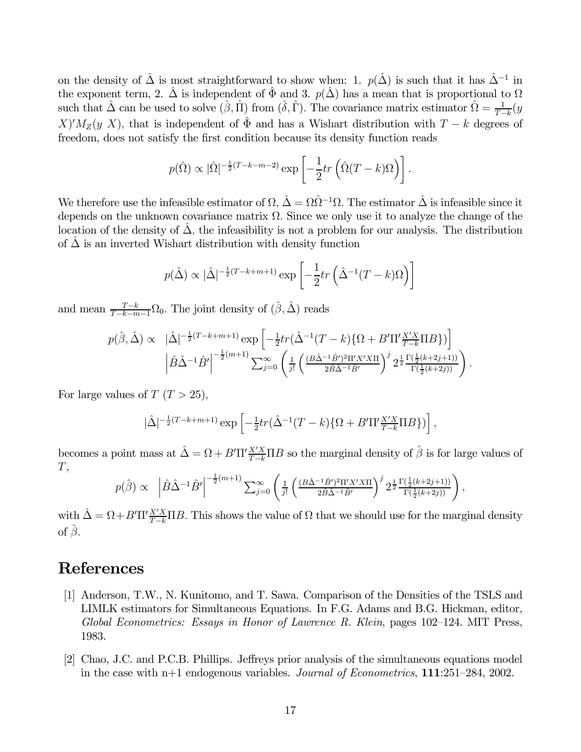on the density of  $\hat{\Delta}$  is most straightforward to show when: 1.  $p(\hat{\Delta})$  is such that it has  $\hat{\Delta}^{-1}$  in the exponent term, 2.  $\hat{\Delta}$  is independent of  $\hat{\Phi}$  and 3.  $p(\hat{\Delta})$  has a mean that is proportional to  $\Omega$ such that  $\hat{\Delta}$  can be used to solve  $(\hat{\beta}, \hat{\Pi})$  from  $(\hat{\delta}, \hat{\Gamma})$ . The covariance matrix estimator  $\hat{\Omega} = \frac{1}{T-k}(y)$  $X/M_Z(y|X)$ , that is independent of  $\hat{\Phi}$  and has a Wishart distribution with  $T - k$  degrees of freedom, does not satisfy the first condition because its density function reads

$$
p(\hat{\Omega}) \propto |\hat{\Omega}|^{-\frac{1}{2}(T-k-m-2)} \exp\left[-\frac{1}{2}tr\left(\hat{\Omega}(T-k)\Omega\right)\right].
$$

We therefore use the infeasible estimator of  $\Omega$ ,  $\hat{\Delta} = \Omega \hat{\Omega}^{-1} \Omega$ . The estimator  $\hat{\Delta}$  is infeasible since it depends on the unknown covariance matrix  $\Omega$ . Since we only use it to analyze the change of the location of the density of  $\Delta$ , the infeasibility is not a problem for our analysis. The distribution of  $\hat{\Delta}$  is an inverted Wishart distribution with density function

$$
p(\hat{\Delta}) \propto |\hat{\Delta}|^{-\frac{1}{2}(T-k+m+1)} \exp\left[-\frac{1}{2}tr\left(\hat{\Delta}^{-1}(T-k)\Omega\right)\right]
$$

and mean  $\frac{T-k}{T-k-m-1}\Omega_0$ . The joint density of  $(\hat{\beta}, \hat{\Delta})$  reads

$$
p(\hat{\beta}, \hat{\Delta}) \propto |\hat{\Delta}|^{-\frac{1}{2}(T-k+m+1)} \exp\left[-\frac{1}{2}tr(\hat{\Delta}^{-1}(T-k)\{\Omega+B'\Pi'\frac{X'X}{T-k}\Pi B\})\right] |\hat{\beta}\hat{\Delta}^{-1}\hat{B}'|^{\frac{-\frac{1}{2}(m+1)}{2}} \sum_{j=0}^{\infty} \left(\frac{1}{j!} \left(\frac{(B\hat{\Delta}^{-1}\hat{B}')^2\Pi'X'X\Pi}{2\hat{\beta}\hat{\Delta}^{-1}\hat{B}'}\right)^j 2^{\frac{1}{2}} \frac{\Gamma(\frac{1}{2}(k+2j+1))}{\Gamma(\frac{1}{2}(k+2j))}\right).
$$

For large values of  $T (T > 25)$ ,

$$
|\hat{\Delta}|^{-\frac{1}{2}(T-k+m+1)} \exp\left[-\frac{1}{2}tr(\hat{\Delta}^{-1}(T-k)\{\Omega+B'\Pi'\frac{X'X}{T-k}\Pi B\})\right],
$$

becomes a point mass at  $\hat{\Delta} = \Omega + B'\Pi'\frac{X'X}{T-k}\Pi B$  so the marginal density of  $\hat{\beta}$  is for large values of  $T,$ 

$$
p(\hat{\beta}) \propto \left| \hat{B}\hat{\Delta}^{-1}\hat{B}' \right|^{-\frac{1}{2}(m+1)} \sum_{j=0}^{\infty} \left( \frac{1}{j!} \left( \frac{(B\hat{\Delta}^{-1}\hat{B}')^2 \Pi' X' X \Pi}{2\hat{B}\hat{\Delta}^{-1}\hat{B}'} \right)^j 2^{\frac{1}{2}} \frac{\Gamma(\frac{1}{2}(k+2j+1))}{\Gamma(\frac{1}{2}(k+2j))} \right),
$$

with  $\hat{\Delta} = \Omega + B' \Pi' \frac{X'X}{T-k} \Pi B$ . This shows the value of  $\Omega$  that we should use for the marginal density of  $\hat{\beta}$ .

### References

- [1] Anderson, T.W., N. Kunitomo, and T. Sawa. Comparison of the Densities of the TSLS and LIMLK estimators for Simultaneous Equations. In F.G. Adams and B.G. Hickman, editor, Global Econometrics: Essays in Honor of Lawrence R. Klein, pages 102—124. MIT Press, 1983.
- [2] Chao, J.C. and P.C.B. Phillips. Jeffreys prior analysis of the simultaneous equations model in the case with n+1 endogenous variables. Journal of Econometrics, 111:251—284, 2002.